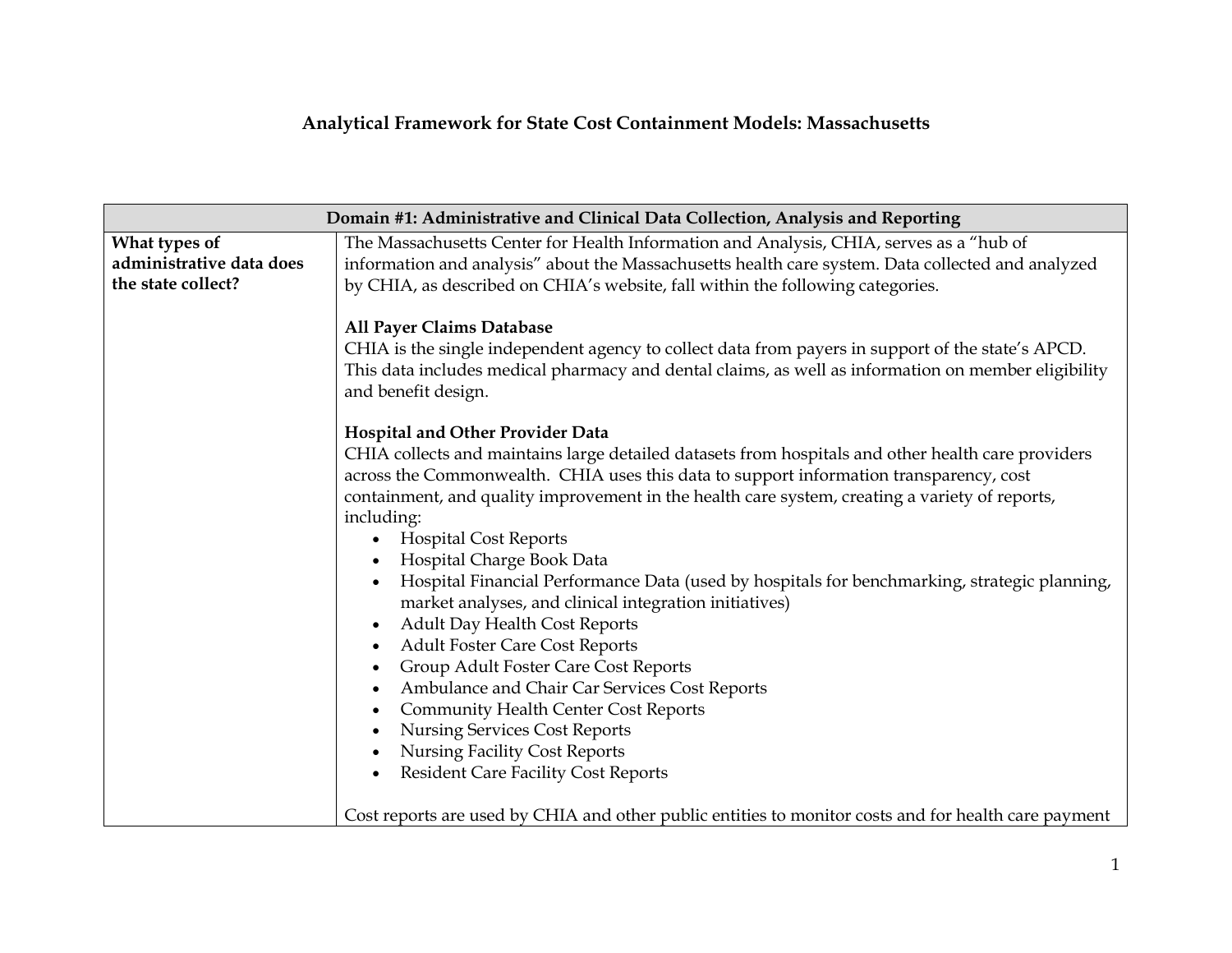## **Analytical Framework for State Cost Containment Models: Massachusetts**

| Domain #1: Administrative and Clinical Data Collection, Analysis and Reporting |                                                                                                                                                                                                                                                                                                                                                                           |
|--------------------------------------------------------------------------------|---------------------------------------------------------------------------------------------------------------------------------------------------------------------------------------------------------------------------------------------------------------------------------------------------------------------------------------------------------------------------|
| What types of                                                                  | The Massachusetts Center for Health Information and Analysis, CHIA, serves as a "hub of                                                                                                                                                                                                                                                                                   |
| administrative data does                                                       | information and analysis" about the Massachusetts health care system. Data collected and analyzed                                                                                                                                                                                                                                                                         |
| the state collect?                                                             | by CHIA, as described on CHIA's website, fall within the following categories.                                                                                                                                                                                                                                                                                            |
|                                                                                | All Payer Claims Database<br>CHIA is the single independent agency to collect data from payers in support of the state's APCD.<br>This data includes medical pharmacy and dental claims, as well as information on member eligibility<br>and benefit design.                                                                                                              |
|                                                                                | <b>Hospital and Other Provider Data</b>                                                                                                                                                                                                                                                                                                                                   |
|                                                                                | CHIA collects and maintains large detailed datasets from hospitals and other health care providers<br>across the Commonwealth. CHIA uses this data to support information transparency, cost<br>containment, and quality improvement in the health care system, creating a variety of reports,<br>including:<br><b>Hospital Cost Reports</b><br>Hospital Charge Book Data |
|                                                                                | Hospital Financial Performance Data (used by hospitals for benchmarking, strategic planning,<br>market analyses, and clinical integration initiatives)                                                                                                                                                                                                                    |
|                                                                                | Adult Day Health Cost Reports<br>$\bullet$                                                                                                                                                                                                                                                                                                                                |
|                                                                                | <b>Adult Foster Care Cost Reports</b><br>$\bullet$                                                                                                                                                                                                                                                                                                                        |
|                                                                                | Group Adult Foster Care Cost Reports<br>Ambulance and Chair Car Services Cost Reports<br>$\bullet$                                                                                                                                                                                                                                                                        |
|                                                                                | <b>Community Health Center Cost Reports</b><br>$\bullet$                                                                                                                                                                                                                                                                                                                  |
|                                                                                | <b>Nursing Services Cost Reports</b>                                                                                                                                                                                                                                                                                                                                      |
|                                                                                | <b>Nursing Facility Cost Reports</b>                                                                                                                                                                                                                                                                                                                                      |
|                                                                                | <b>Resident Care Facility Cost Reports</b>                                                                                                                                                                                                                                                                                                                                |
|                                                                                | Cost reports are used by CHIA and other public entities to monitor costs and for health care payment                                                                                                                                                                                                                                                                      |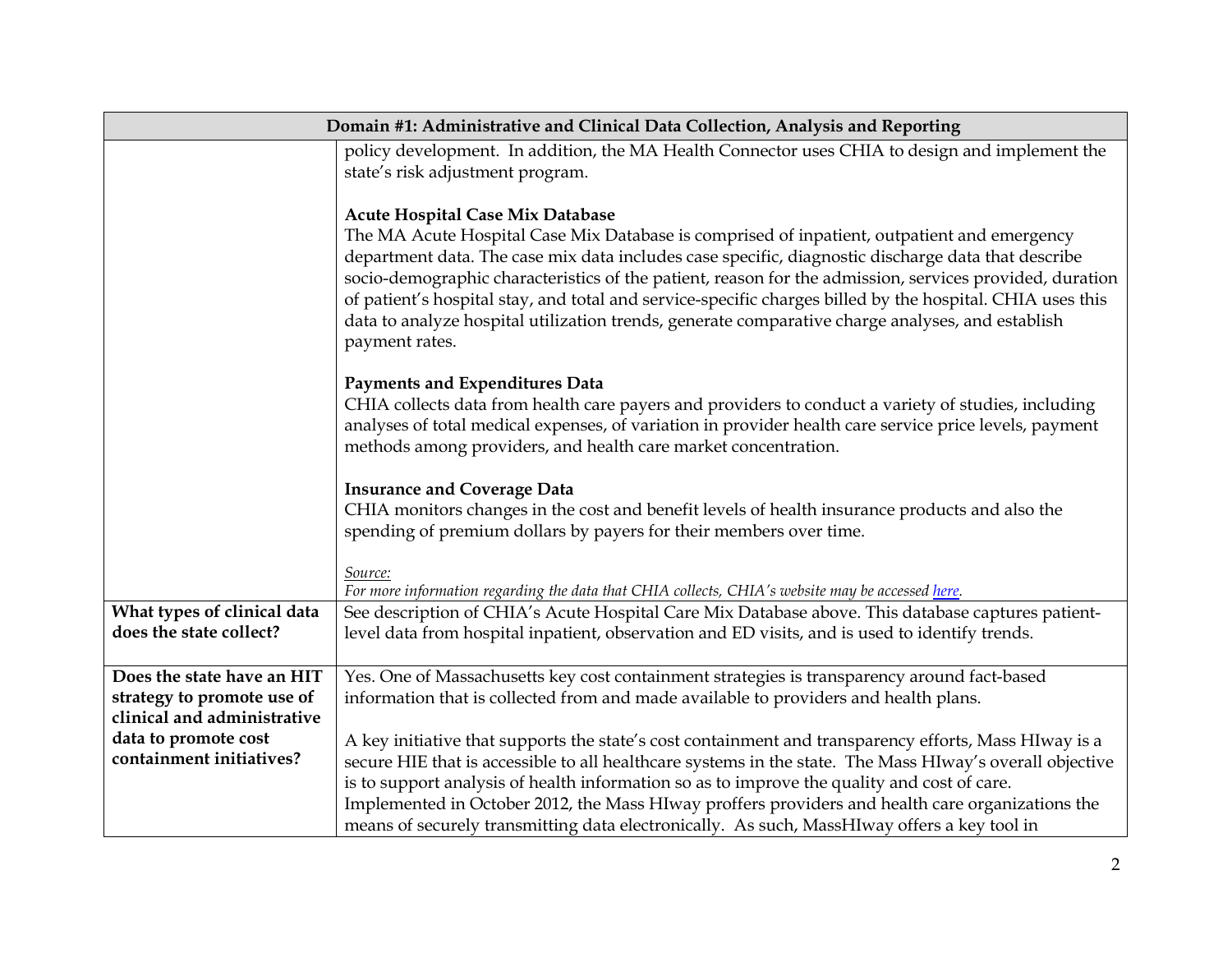|                                                        | Domain #1: Administrative and Clinical Data Collection, Analysis and Reporting                                                                                                                                                                                                                                                                                                                                                                                                                                                                                                      |
|--------------------------------------------------------|-------------------------------------------------------------------------------------------------------------------------------------------------------------------------------------------------------------------------------------------------------------------------------------------------------------------------------------------------------------------------------------------------------------------------------------------------------------------------------------------------------------------------------------------------------------------------------------|
|                                                        | policy development. In addition, the MA Health Connector uses CHIA to design and implement the                                                                                                                                                                                                                                                                                                                                                                                                                                                                                      |
|                                                        | state's risk adjustment program.                                                                                                                                                                                                                                                                                                                                                                                                                                                                                                                                                    |
|                                                        | Acute Hospital Case Mix Database<br>The MA Acute Hospital Case Mix Database is comprised of inpatient, outpatient and emergency<br>department data. The case mix data includes case specific, diagnostic discharge data that describe<br>socio-demographic characteristics of the patient, reason for the admission, services provided, duration<br>of patient's hospital stay, and total and service-specific charges billed by the hospital. CHIA uses this<br>data to analyze hospital utilization trends, generate comparative charge analyses, and establish<br>payment rates. |
|                                                        | <b>Payments and Expenditures Data</b><br>CHIA collects data from health care payers and providers to conduct a variety of studies, including<br>analyses of total medical expenses, of variation in provider health care service price levels, payment<br>methods among providers, and health care market concentration.                                                                                                                                                                                                                                                            |
|                                                        | <b>Insurance and Coverage Data</b><br>CHIA monitors changes in the cost and benefit levels of health insurance products and also the<br>spending of premium dollars by payers for their members over time.                                                                                                                                                                                                                                                                                                                                                                          |
|                                                        | Source:<br>For more information regarding the data that CHIA collects, CHIA's website may be accessed here.                                                                                                                                                                                                                                                                                                                                                                                                                                                                         |
| What types of clinical data<br>does the state collect? | See description of CHIA's Acute Hospital Care Mix Database above. This database captures patient-<br>level data from hospital inpatient, observation and ED visits, and is used to identify trends.                                                                                                                                                                                                                                                                                                                                                                                 |
| Does the state have an HIT                             | Yes. One of Massachusetts key cost containment strategies is transparency around fact-based                                                                                                                                                                                                                                                                                                                                                                                                                                                                                         |
| strategy to promote use of                             | information that is collected from and made available to providers and health plans.                                                                                                                                                                                                                                                                                                                                                                                                                                                                                                |
| clinical and administrative<br>data to promote cost    | A key initiative that supports the state's cost containment and transparency efforts, Mass HIway is a                                                                                                                                                                                                                                                                                                                                                                                                                                                                               |
| containment initiatives?                               | secure HIE that is accessible to all healthcare systems in the state. The Mass HIway's overall objective                                                                                                                                                                                                                                                                                                                                                                                                                                                                            |
|                                                        | is to support analysis of health information so as to improve the quality and cost of care.                                                                                                                                                                                                                                                                                                                                                                                                                                                                                         |
|                                                        | Implemented in October 2012, the Mass HIway proffers providers and health care organizations the                                                                                                                                                                                                                                                                                                                                                                                                                                                                                    |
|                                                        | means of securely transmitting data electronically. As such, MassHIway offers a key tool in                                                                                                                                                                                                                                                                                                                                                                                                                                                                                         |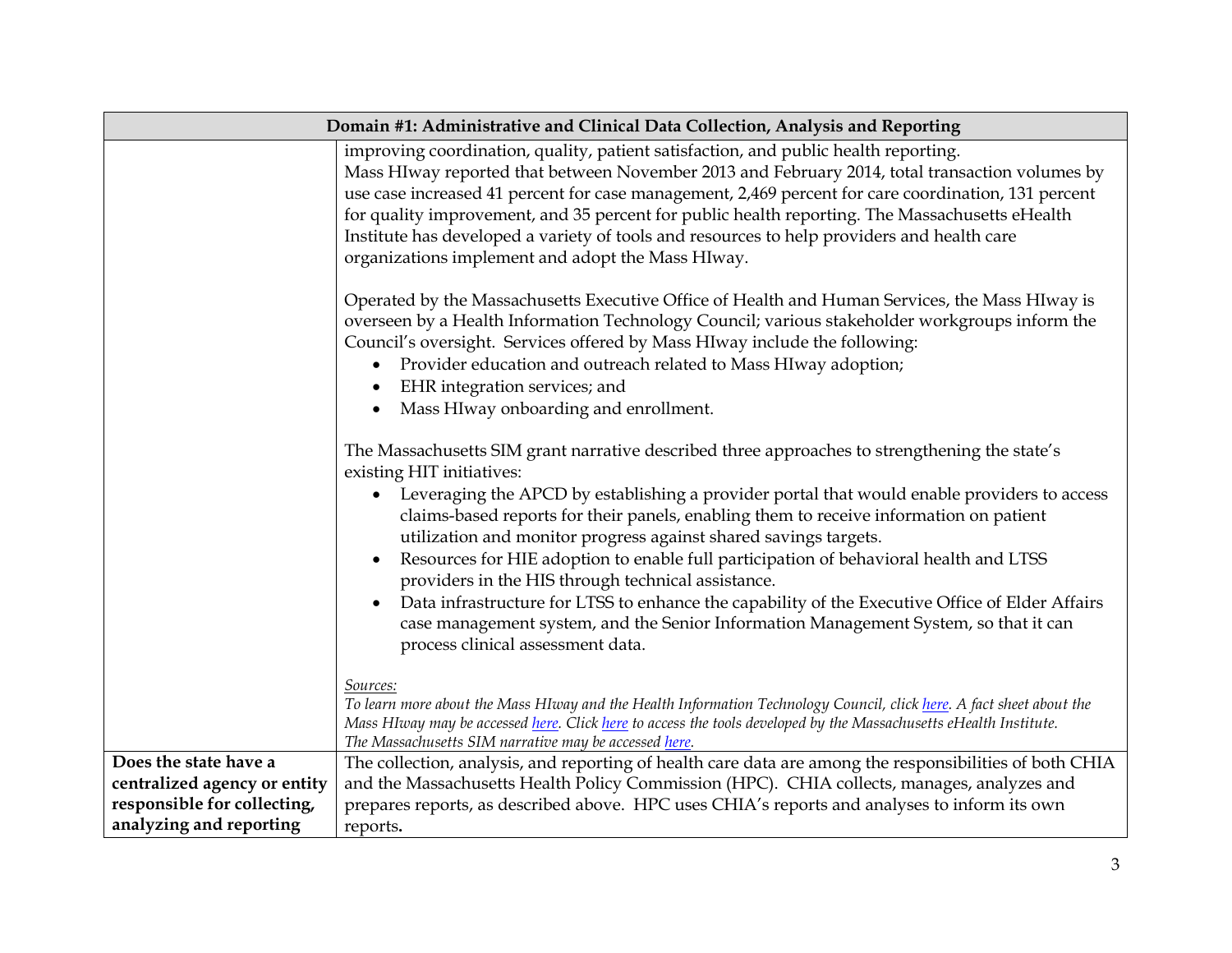|                                                                                                                 | Domain #1: Administrative and Clinical Data Collection, Analysis and Reporting                                                                                                                                                                                                                                                                                                                                                                                                                                                                                                                                                                                                                                                                                                                   |  |
|-----------------------------------------------------------------------------------------------------------------|--------------------------------------------------------------------------------------------------------------------------------------------------------------------------------------------------------------------------------------------------------------------------------------------------------------------------------------------------------------------------------------------------------------------------------------------------------------------------------------------------------------------------------------------------------------------------------------------------------------------------------------------------------------------------------------------------------------------------------------------------------------------------------------------------|--|
|                                                                                                                 | improving coordination, quality, patient satisfaction, and public health reporting.<br>Mass HIway reported that between November 2013 and February 2014, total transaction volumes by<br>use case increased 41 percent for case management, 2,469 percent for care coordination, 131 percent<br>for quality improvement, and 35 percent for public health reporting. The Massachusetts eHealth<br>Institute has developed a variety of tools and resources to help providers and health care<br>organizations implement and adopt the Mass HIway.                                                                                                                                                                                                                                                |  |
|                                                                                                                 | Operated by the Massachusetts Executive Office of Health and Human Services, the Mass HIway is<br>overseen by a Health Information Technology Council; various stakeholder workgroups inform the<br>Council's oversight. Services offered by Mass HIway include the following:<br>Provider education and outreach related to Mass HIway adoption;<br>$\bullet$<br>EHR integration services; and<br>$\bullet$<br>Mass HIway onboarding and enrollment.                                                                                                                                                                                                                                                                                                                                            |  |
|                                                                                                                 | The Massachusetts SIM grant narrative described three approaches to strengthening the state's<br>existing HIT initiatives:<br>Leveraging the APCD by establishing a provider portal that would enable providers to access<br>$\bullet$<br>claims-based reports for their panels, enabling them to receive information on patient<br>utilization and monitor progress against shared savings targets.<br>Resources for HIE adoption to enable full participation of behavioral health and LTSS<br>$\bullet$<br>providers in the HIS through technical assistance.<br>Data infrastructure for LTSS to enhance the capability of the Executive Office of Elder Affairs<br>case management system, and the Senior Information Management System, so that it can<br>process clinical assessment data. |  |
|                                                                                                                 | Sources:<br>To learn more about the Mass HIway and the Health Information Technology Council, click here. A fact sheet about the<br>Mass HIway may be accessed here. Click here to access the tools developed by the Massachusetts eHealth Institute.<br>The Massachusetts SIM narrative may be accessed here.                                                                                                                                                                                                                                                                                                                                                                                                                                                                                   |  |
| Does the state have a<br>centralized agency or entity<br>responsible for collecting,<br>analyzing and reporting | The collection, analysis, and reporting of health care data are among the responsibilities of both CHIA<br>and the Massachusetts Health Policy Commission (HPC). CHIA collects, manages, analyzes and<br>prepares reports, as described above. HPC uses CHIA's reports and analyses to inform its own<br>reports.                                                                                                                                                                                                                                                                                                                                                                                                                                                                                |  |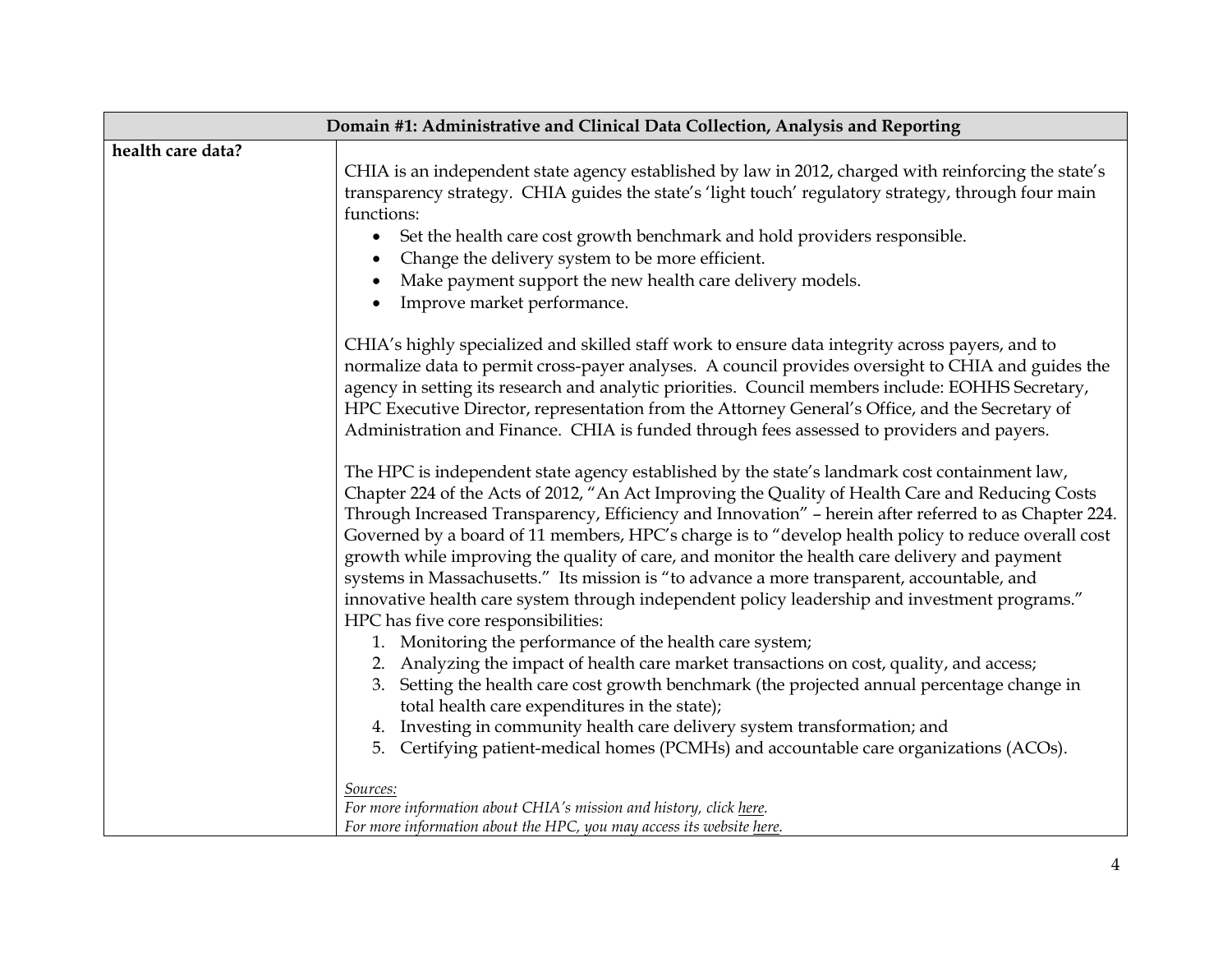| Domain #1: Administrative and Clinical Data Collection, Analysis and Reporting |                                                                                                                                                                                                                                                                                                                                                                                                                                                                                                                                                                                                                                                                                                                                                         |
|--------------------------------------------------------------------------------|---------------------------------------------------------------------------------------------------------------------------------------------------------------------------------------------------------------------------------------------------------------------------------------------------------------------------------------------------------------------------------------------------------------------------------------------------------------------------------------------------------------------------------------------------------------------------------------------------------------------------------------------------------------------------------------------------------------------------------------------------------|
| health care data?                                                              |                                                                                                                                                                                                                                                                                                                                                                                                                                                                                                                                                                                                                                                                                                                                                         |
|                                                                                | CHIA is an independent state agency established by law in 2012, charged with reinforcing the state's<br>transparency strategy. CHIA guides the state's 'light touch' regulatory strategy, through four main<br>functions:                                                                                                                                                                                                                                                                                                                                                                                                                                                                                                                               |
|                                                                                | Set the health care cost growth benchmark and hold providers responsible.<br>$\bullet$<br>Change the delivery system to be more efficient.                                                                                                                                                                                                                                                                                                                                                                                                                                                                                                                                                                                                              |
|                                                                                | Make payment support the new health care delivery models.                                                                                                                                                                                                                                                                                                                                                                                                                                                                                                                                                                                                                                                                                               |
|                                                                                | Improve market performance.                                                                                                                                                                                                                                                                                                                                                                                                                                                                                                                                                                                                                                                                                                                             |
|                                                                                | CHIA's highly specialized and skilled staff work to ensure data integrity across payers, and to<br>normalize data to permit cross-payer analyses. A council provides oversight to CHIA and guides the<br>agency in setting its research and analytic priorities. Council members include: EOHHS Secretary,<br>HPC Executive Director, representation from the Attorney General's Office, and the Secretary of                                                                                                                                                                                                                                                                                                                                           |
|                                                                                | Administration and Finance. CHIA is funded through fees assessed to providers and payers.                                                                                                                                                                                                                                                                                                                                                                                                                                                                                                                                                                                                                                                               |
|                                                                                | The HPC is independent state agency established by the state's landmark cost containment law,<br>Chapter 224 of the Acts of 2012, "An Act Improving the Quality of Health Care and Reducing Costs<br>Through Increased Transparency, Efficiency and Innovation" - herein after referred to as Chapter 224.<br>Governed by a board of 11 members, HPC's charge is to "develop health policy to reduce overall cost<br>growth while improving the quality of care, and monitor the health care delivery and payment<br>systems in Massachusetts." Its mission is "to advance a more transparent, accountable, and<br>innovative health care system through independent policy leadership and investment programs."<br>HPC has five core responsibilities: |
|                                                                                | 1. Monitoring the performance of the health care system;<br>2. Analyzing the impact of health care market transactions on cost, quality, and access;<br>3. Setting the health care cost growth benchmark (the projected annual percentage change in<br>total health care expenditures in the state);                                                                                                                                                                                                                                                                                                                                                                                                                                                    |
|                                                                                | 4. Investing in community health care delivery system transformation; and<br>Certifying patient-medical homes (PCMHs) and accountable care organizations (ACOs).<br>5.                                                                                                                                                                                                                                                                                                                                                                                                                                                                                                                                                                                  |
|                                                                                | Sources:<br>For more information about CHIA's mission and history, click here.<br>For more information about the HPC, you may access its website here.                                                                                                                                                                                                                                                                                                                                                                                                                                                                                                                                                                                                  |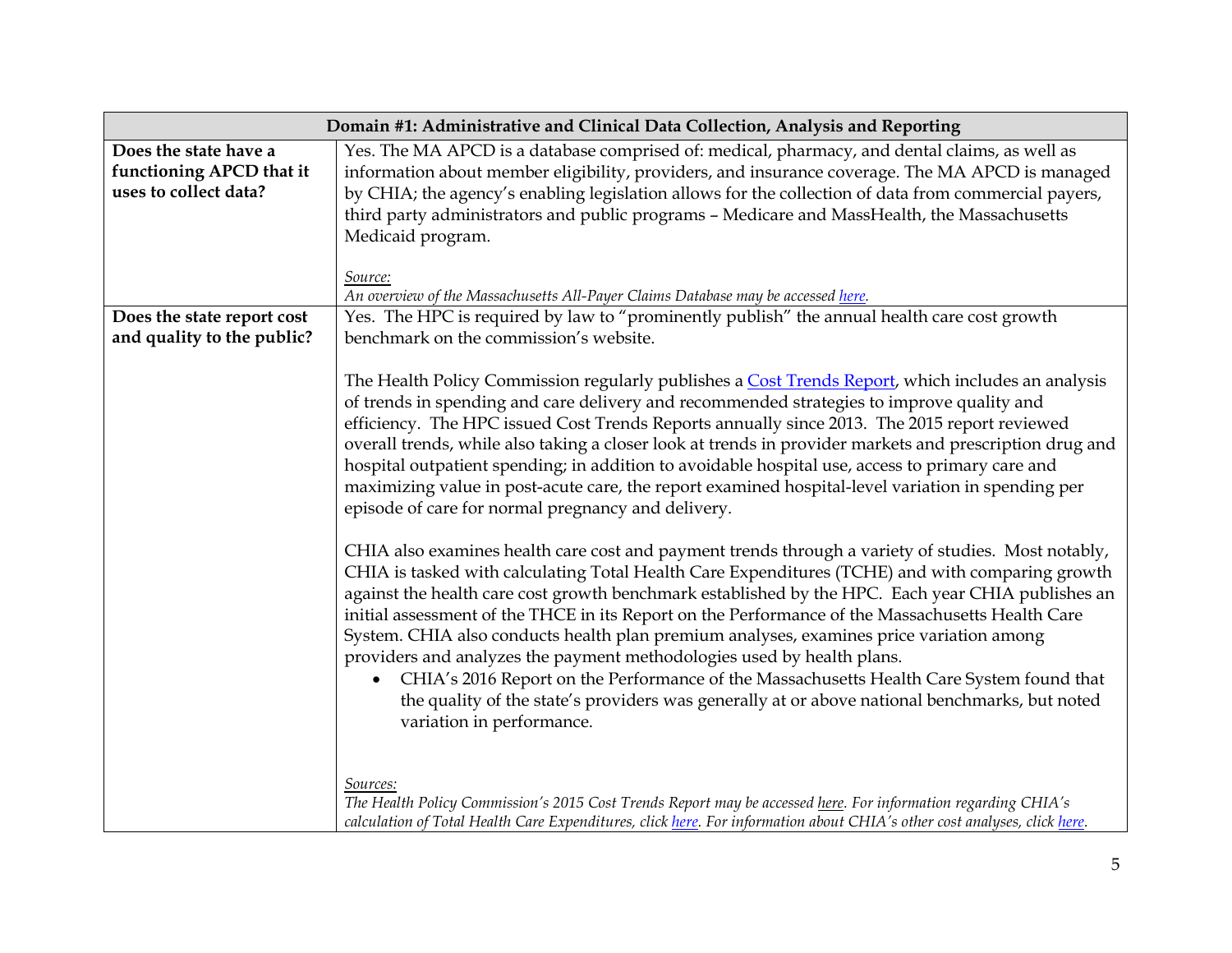| Domain #1: Administrative and Clinical Data Collection, Analysis and Reporting |                                                                                                                                                                                                                                                                                                                                                                                                                                                                                                                                                                                                                                                                                                                                                                                                               |
|--------------------------------------------------------------------------------|---------------------------------------------------------------------------------------------------------------------------------------------------------------------------------------------------------------------------------------------------------------------------------------------------------------------------------------------------------------------------------------------------------------------------------------------------------------------------------------------------------------------------------------------------------------------------------------------------------------------------------------------------------------------------------------------------------------------------------------------------------------------------------------------------------------|
| Does the state have a<br>functioning APCD that it<br>uses to collect data?     | Yes. The MA APCD is a database comprised of: medical, pharmacy, and dental claims, as well as<br>information about member eligibility, providers, and insurance coverage. The MA APCD is managed<br>by CHIA; the agency's enabling legislation allows for the collection of data from commercial payers,<br>third party administrators and public programs - Medicare and MassHealth, the Massachusetts<br>Medicaid program.<br>Source:                                                                                                                                                                                                                                                                                                                                                                       |
| Does the state report cost                                                     | An overview of the Massachusetts All-Payer Claims Database may be accessed here.<br>Yes. The HPC is required by law to "prominently publish" the annual health care cost growth                                                                                                                                                                                                                                                                                                                                                                                                                                                                                                                                                                                                                               |
| and quality to the public?                                                     | benchmark on the commission's website.                                                                                                                                                                                                                                                                                                                                                                                                                                                                                                                                                                                                                                                                                                                                                                        |
|                                                                                | The Health Policy Commission regularly publishes a Cost Trends Report, which includes an analysis<br>of trends in spending and care delivery and recommended strategies to improve quality and<br>efficiency. The HPC issued Cost Trends Reports annually since 2013. The 2015 report reviewed<br>overall trends, while also taking a closer look at trends in provider markets and prescription drug and<br>hospital outpatient spending; in addition to avoidable hospital use, access to primary care and<br>maximizing value in post-acute care, the report examined hospital-level variation in spending per<br>episode of care for normal pregnancy and delivery.                                                                                                                                       |
|                                                                                | CHIA also examines health care cost and payment trends through a variety of studies. Most notably,<br>CHIA is tasked with calculating Total Health Care Expenditures (TCHE) and with comparing growth<br>against the health care cost growth benchmark established by the HPC. Each year CHIA publishes an<br>initial assessment of the THCE in its Report on the Performance of the Massachusetts Health Care<br>System. CHIA also conducts health plan premium analyses, examines price variation among<br>providers and analyzes the payment methodologies used by health plans.<br>CHIA's 2016 Report on the Performance of the Massachusetts Health Care System found that<br>the quality of the state's providers was generally at or above national benchmarks, but noted<br>variation in performance. |
|                                                                                | Sources:<br>The Health Policy Commission's 2015 Cost Trends Report may be accessed here. For information regarding CHIA's<br>calculation of Total Health Care Expenditures, click here. For information about CHIA's other cost analyses, click here.                                                                                                                                                                                                                                                                                                                                                                                                                                                                                                                                                         |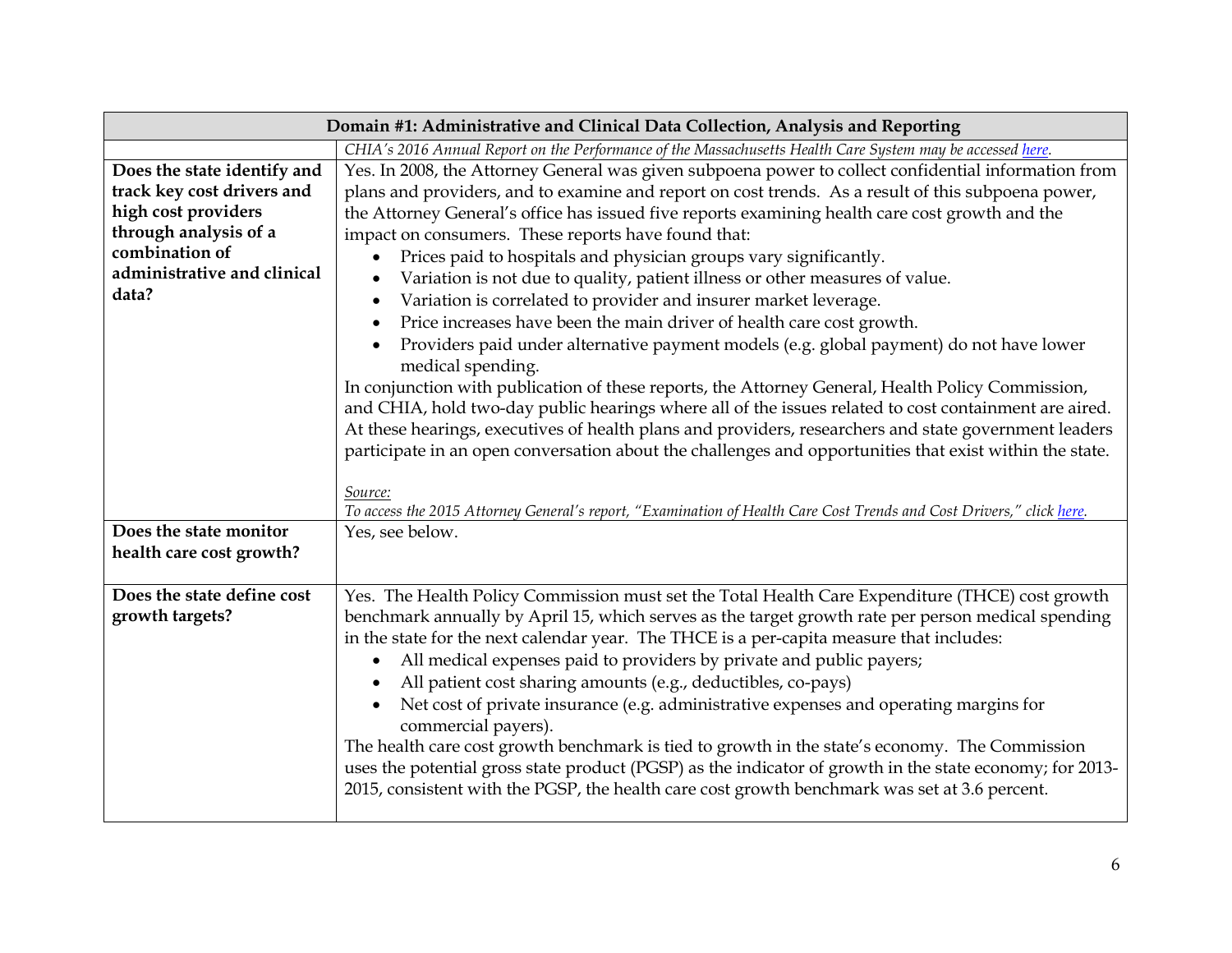| Domain #1: Administrative and Clinical Data Collection, Analysis and Reporting |                                                                                                                      |
|--------------------------------------------------------------------------------|----------------------------------------------------------------------------------------------------------------------|
|                                                                                | CHIA's 2016 Annual Report on the Performance of the Massachusetts Health Care System may be accessed here.           |
| Does the state identify and                                                    | Yes. In 2008, the Attorney General was given subpoena power to collect confidential information from                 |
| track key cost drivers and                                                     | plans and providers, and to examine and report on cost trends. As a result of this subpoena power,                   |
| high cost providers                                                            | the Attorney General's office has issued five reports examining health care cost growth and the                      |
| through analysis of a                                                          | impact on consumers. These reports have found that:                                                                  |
| combination of                                                                 | Prices paid to hospitals and physician groups vary significantly.                                                    |
| administrative and clinical                                                    | Variation is not due to quality, patient illness or other measures of value.<br>$\bullet$                            |
| data?                                                                          | Variation is correlated to provider and insurer market leverage.                                                     |
|                                                                                | Price increases have been the main driver of health care cost growth.                                                |
|                                                                                | Providers paid under alternative payment models (e.g. global payment) do not have lower                              |
|                                                                                | medical spending.                                                                                                    |
|                                                                                | In conjunction with publication of these reports, the Attorney General, Health Policy Commission,                    |
|                                                                                | and CHIA, hold two-day public hearings where all of the issues related to cost containment are aired.                |
|                                                                                | At these hearings, executives of health plans and providers, researchers and state government leaders                |
|                                                                                | participate in an open conversation about the challenges and opportunities that exist within the state.              |
|                                                                                |                                                                                                                      |
|                                                                                | Source:                                                                                                              |
|                                                                                | To access the 2015 Attorney General's report, "Examination of Health Care Cost Trends and Cost Drivers," click here. |
| Does the state monitor                                                         | Yes, see below.                                                                                                      |
| health care cost growth?                                                       |                                                                                                                      |
|                                                                                |                                                                                                                      |
| Does the state define cost                                                     | Yes. The Health Policy Commission must set the Total Health Care Expenditure (THCE) cost growth                      |
| growth targets?                                                                | benchmark annually by April 15, which serves as the target growth rate per person medical spending                   |
|                                                                                | in the state for the next calendar year. The THCE is a per-capita measure that includes:                             |
|                                                                                | All medical expenses paid to providers by private and public payers;                                                 |
|                                                                                | All patient cost sharing amounts (e.g., deductibles, co-pays)                                                        |
|                                                                                | Net cost of private insurance (e.g. administrative expenses and operating margins for                                |
|                                                                                | commercial payers).                                                                                                  |
|                                                                                | The health care cost growth benchmark is tied to growth in the state's economy. The Commission                       |
|                                                                                | uses the potential gross state product (PGSP) as the indicator of growth in the state economy; for 2013-             |
|                                                                                | 2015, consistent with the PGSP, the health care cost growth benchmark was set at 3.6 percent.                        |
|                                                                                |                                                                                                                      |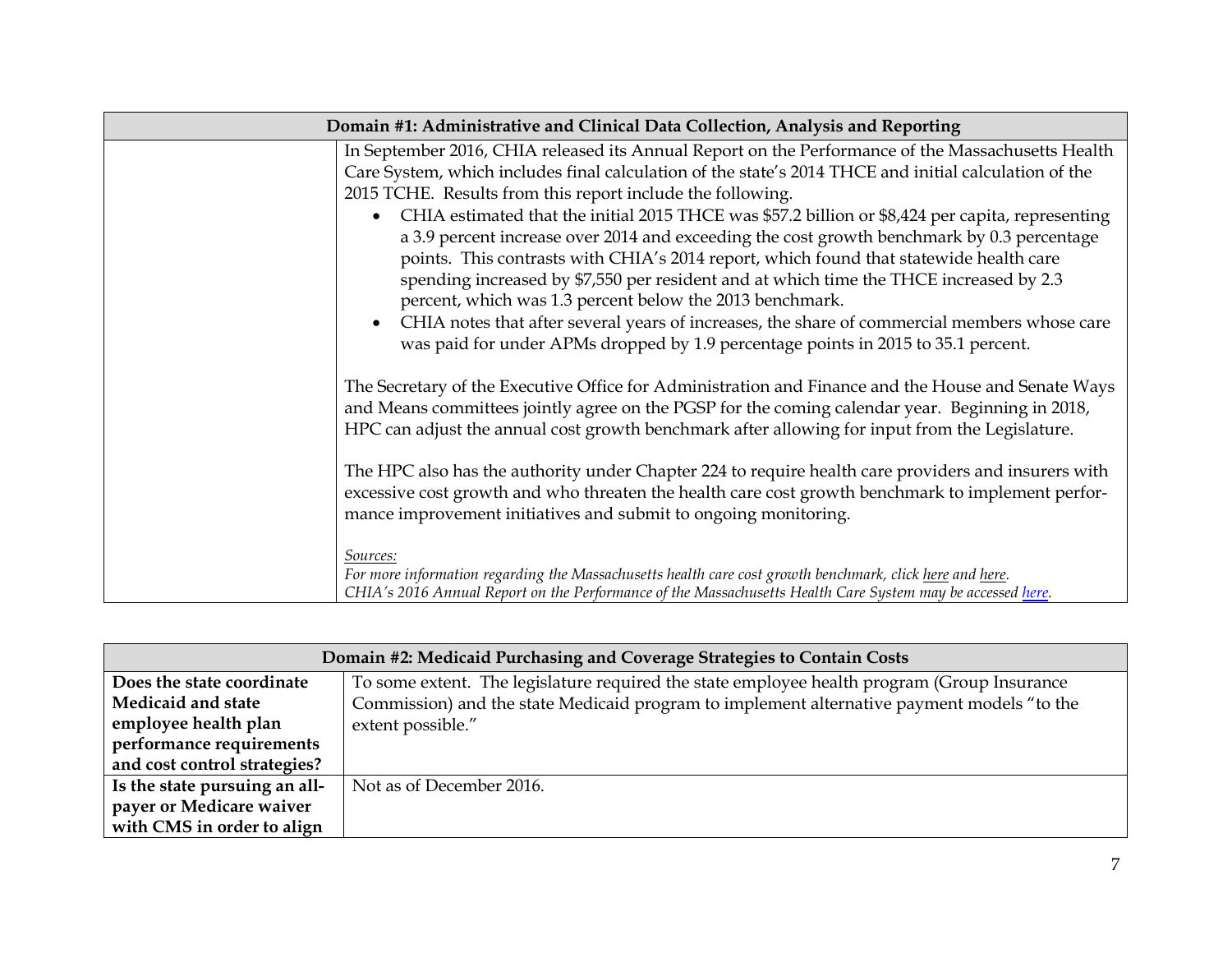| Domain #1: Administrative and Clinical Data Collection, Analysis and Reporting |                                                                                                                                                                                                                                                                                                                                                                                                                                                                                                                                                                                                                                                                                                                                                                                                                                                                                                                 |
|--------------------------------------------------------------------------------|-----------------------------------------------------------------------------------------------------------------------------------------------------------------------------------------------------------------------------------------------------------------------------------------------------------------------------------------------------------------------------------------------------------------------------------------------------------------------------------------------------------------------------------------------------------------------------------------------------------------------------------------------------------------------------------------------------------------------------------------------------------------------------------------------------------------------------------------------------------------------------------------------------------------|
|                                                                                | In September 2016, CHIA released its Annual Report on the Performance of the Massachusetts Health<br>Care System, which includes final calculation of the state's 2014 THCE and initial calculation of the<br>2015 TCHE. Results from this report include the following.<br>CHIA estimated that the initial 2015 THCE was \$57.2 billion or \$8,424 per capita, representing<br>a 3.9 percent increase over 2014 and exceeding the cost growth benchmark by 0.3 percentage<br>points. This contrasts with CHIA's 2014 report, which found that statewide health care<br>spending increased by \$7,550 per resident and at which time the THCE increased by 2.3<br>percent, which was 1.3 percent below the 2013 benchmark.<br>CHIA notes that after several years of increases, the share of commercial members whose care<br>was paid for under APMs dropped by 1.9 percentage points in 2015 to 35.1 percent. |
|                                                                                | The Secretary of the Executive Office for Administration and Finance and the House and Senate Ways<br>and Means committees jointly agree on the PGSP for the coming calendar year. Beginning in 2018,<br>HPC can adjust the annual cost growth benchmark after allowing for input from the Legislature.                                                                                                                                                                                                                                                                                                                                                                                                                                                                                                                                                                                                         |
|                                                                                | The HPC also has the authority under Chapter 224 to require health care providers and insurers with<br>excessive cost growth and who threaten the health care cost growth benchmark to implement perfor-<br>mance improvement initiatives and submit to ongoing monitoring.                                                                                                                                                                                                                                                                                                                                                                                                                                                                                                                                                                                                                                     |
|                                                                                | Sources:<br>For more information regarding the Massachusetts health care cost growth benchmark, click here and here.<br>CHIA's 2016 Annual Report on the Performance of the Massachusetts Health Care System may be accessed here.                                                                                                                                                                                                                                                                                                                                                                                                                                                                                                                                                                                                                                                                              |

| Domain #2: Medicaid Purchasing and Coverage Strategies to Contain Costs |                                                                                             |
|-------------------------------------------------------------------------|---------------------------------------------------------------------------------------------|
| Does the state coordinate                                               | To some extent. The legislature required the state employee health program (Group Insurance |
| Medicaid and state                                                      | Commission) and the state Medicaid program to implement alternative payment models "to the  |
| employee health plan                                                    | extent possible."                                                                           |
| performance requirements                                                |                                                                                             |
| and cost control strategies?                                            |                                                                                             |
| Is the state pursuing an all-                                           | Not as of December 2016.                                                                    |
| payer or Medicare waiver                                                |                                                                                             |
| with CMS in order to align                                              |                                                                                             |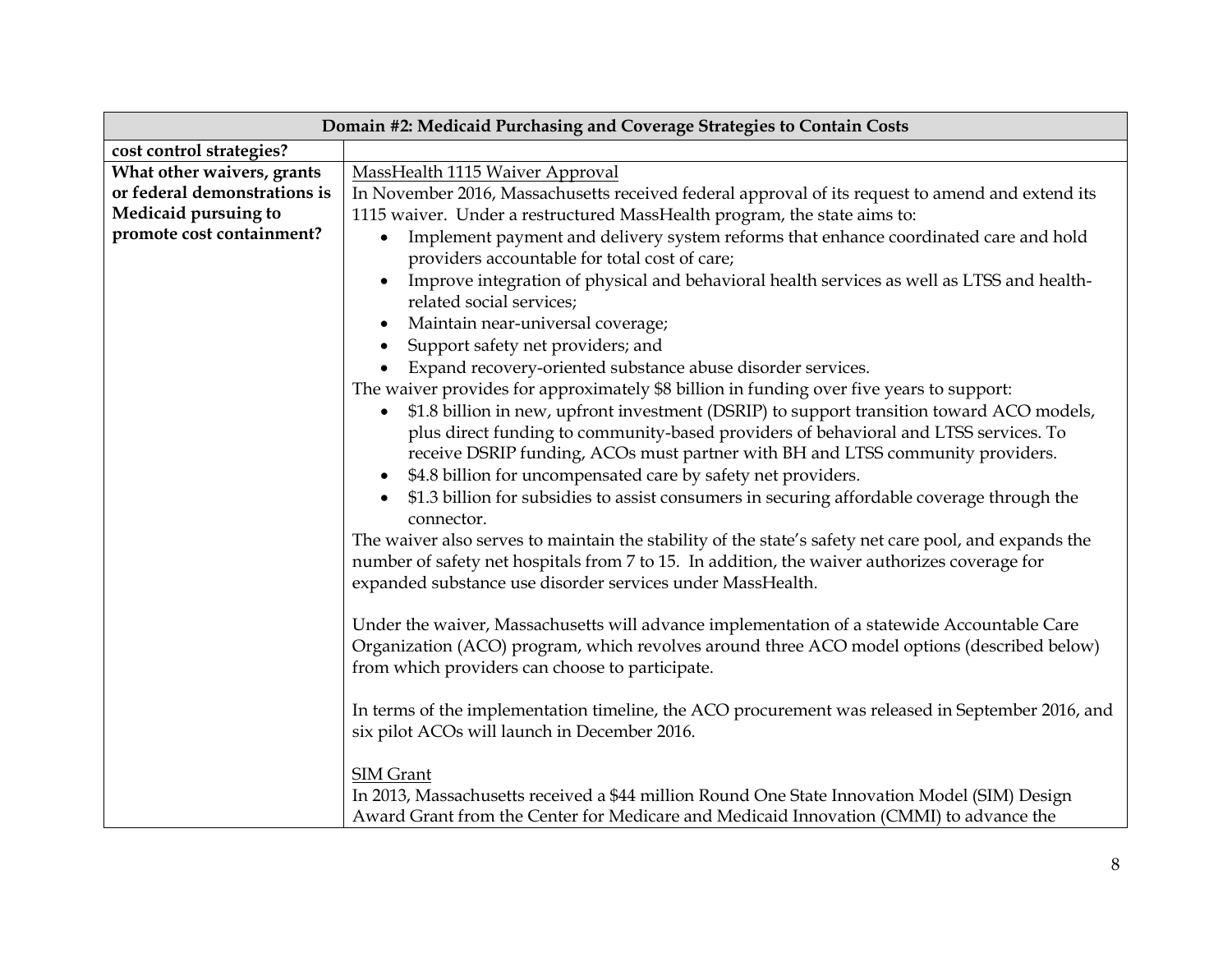| Domain #2: Medicaid Purchasing and Coverage Strategies to Contain Costs |                                                                                                                                                                                                                                                                                                                                                   |
|-------------------------------------------------------------------------|---------------------------------------------------------------------------------------------------------------------------------------------------------------------------------------------------------------------------------------------------------------------------------------------------------------------------------------------------|
| cost control strategies?                                                |                                                                                                                                                                                                                                                                                                                                                   |
| What other waivers, grants                                              | MassHealth 1115 Waiver Approval                                                                                                                                                                                                                                                                                                                   |
| or federal demonstrations is                                            | In November 2016, Massachusetts received federal approval of its request to amend and extend its                                                                                                                                                                                                                                                  |
| Medicaid pursuing to                                                    | 1115 waiver. Under a restructured MassHealth program, the state aims to:                                                                                                                                                                                                                                                                          |
| promote cost containment?                                               | Implement payment and delivery system reforms that enhance coordinated care and hold<br>$\bullet$<br>providers accountable for total cost of care;                                                                                                                                                                                                |
|                                                                         | Improve integration of physical and behavioral health services as well as LTSS and health-<br>related social services;                                                                                                                                                                                                                            |
|                                                                         | Maintain near-universal coverage;<br>$\bullet$                                                                                                                                                                                                                                                                                                    |
|                                                                         | Support safety net providers; and                                                                                                                                                                                                                                                                                                                 |
|                                                                         | Expand recovery-oriented substance abuse disorder services.                                                                                                                                                                                                                                                                                       |
|                                                                         | The waiver provides for approximately \$8 billion in funding over five years to support:                                                                                                                                                                                                                                                          |
|                                                                         | \$1.8 billion in new, upfront investment (DSRIP) to support transition toward ACO models,<br>$\bullet$<br>plus direct funding to community-based providers of behavioral and LTSS services. To<br>receive DSRIP funding, ACOs must partner with BH and LTSS community providers.<br>\$4.8 billion for uncompensated care by safety net providers. |
|                                                                         | \$1.3 billion for subsidies to assist consumers in securing affordable coverage through the<br>connector.                                                                                                                                                                                                                                         |
|                                                                         | The waiver also serves to maintain the stability of the state's safety net care pool, and expands the<br>number of safety net hospitals from 7 to 15. In addition, the waiver authorizes coverage for<br>expanded substance use disorder services under MassHealth.                                                                               |
|                                                                         | Under the waiver, Massachusetts will advance implementation of a statewide Accountable Care<br>Organization (ACO) program, which revolves around three ACO model options (described below)<br>from which providers can choose to participate.                                                                                                     |
|                                                                         | In terms of the implementation timeline, the ACO procurement was released in September 2016, and<br>six pilot ACOs will launch in December 2016.                                                                                                                                                                                                  |
|                                                                         | <b>SIM Grant</b><br>In 2013, Massachusetts received a \$44 million Round One State Innovation Model (SIM) Design<br>Award Grant from the Center for Medicare and Medicaid Innovation (CMMI) to advance the                                                                                                                                        |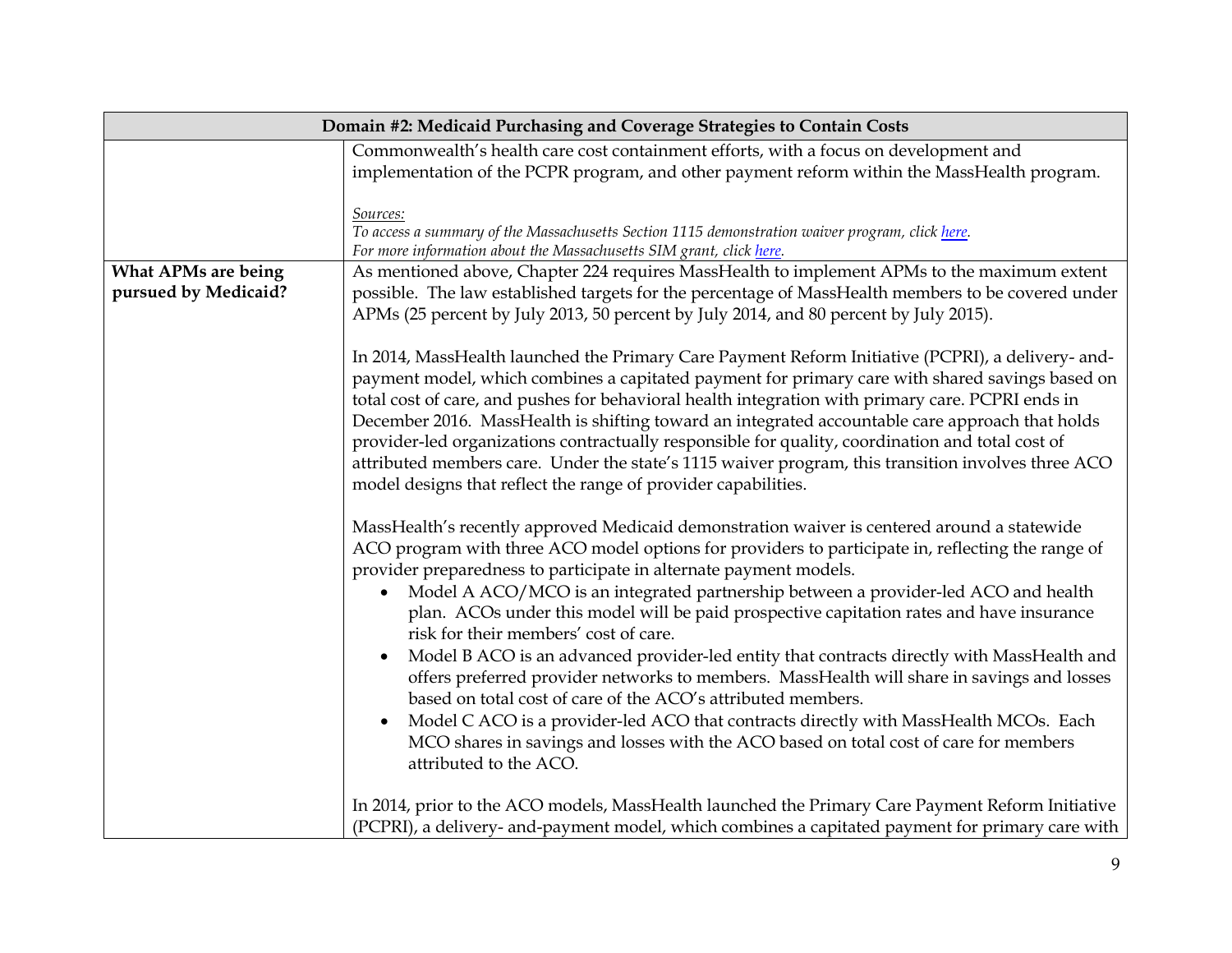|                            | Domain #2: Medicaid Purchasing and Coverage Strategies to Contain Costs                                                                                                                                                                                                                                                                                                                                                                                                                                                                                                                                                                                                                                                                                                                                                                                                                                                                                                                                        |  |
|----------------------------|----------------------------------------------------------------------------------------------------------------------------------------------------------------------------------------------------------------------------------------------------------------------------------------------------------------------------------------------------------------------------------------------------------------------------------------------------------------------------------------------------------------------------------------------------------------------------------------------------------------------------------------------------------------------------------------------------------------------------------------------------------------------------------------------------------------------------------------------------------------------------------------------------------------------------------------------------------------------------------------------------------------|--|
|                            | Commonwealth's health care cost containment efforts, with a focus on development and                                                                                                                                                                                                                                                                                                                                                                                                                                                                                                                                                                                                                                                                                                                                                                                                                                                                                                                           |  |
|                            | implementation of the PCPR program, and other payment reform within the MassHealth program.                                                                                                                                                                                                                                                                                                                                                                                                                                                                                                                                                                                                                                                                                                                                                                                                                                                                                                                    |  |
|                            | Sources:                                                                                                                                                                                                                                                                                                                                                                                                                                                                                                                                                                                                                                                                                                                                                                                                                                                                                                                                                                                                       |  |
|                            | To access a summary of the Massachusetts Section 1115 demonstration waiver program, click here.                                                                                                                                                                                                                                                                                                                                                                                                                                                                                                                                                                                                                                                                                                                                                                                                                                                                                                                |  |
|                            | For more information about the Massachusetts SIM grant, click here.                                                                                                                                                                                                                                                                                                                                                                                                                                                                                                                                                                                                                                                                                                                                                                                                                                                                                                                                            |  |
| <b>What APMs are being</b> | As mentioned above, Chapter 224 requires MassHealth to implement APMs to the maximum extent                                                                                                                                                                                                                                                                                                                                                                                                                                                                                                                                                                                                                                                                                                                                                                                                                                                                                                                    |  |
| pursued by Medicaid?       | possible. The law established targets for the percentage of MassHealth members to be covered under                                                                                                                                                                                                                                                                                                                                                                                                                                                                                                                                                                                                                                                                                                                                                                                                                                                                                                             |  |
|                            | APMs (25 percent by July 2013, 50 percent by July 2014, and 80 percent by July 2015).                                                                                                                                                                                                                                                                                                                                                                                                                                                                                                                                                                                                                                                                                                                                                                                                                                                                                                                          |  |
|                            | In 2014, MassHealth launched the Primary Care Payment Reform Initiative (PCPRI), a delivery- and-<br>payment model, which combines a capitated payment for primary care with shared savings based on<br>total cost of care, and pushes for behavioral health integration with primary care. PCPRI ends in<br>December 2016. MassHealth is shifting toward an integrated accountable care approach that holds<br>provider-led organizations contractually responsible for quality, coordination and total cost of<br>attributed members care. Under the state's 1115 waiver program, this transition involves three ACO<br>model designs that reflect the range of provider capabilities.                                                                                                                                                                                                                                                                                                                       |  |
|                            | MassHealth's recently approved Medicaid demonstration waiver is centered around a statewide<br>ACO program with three ACO model options for providers to participate in, reflecting the range of<br>provider preparedness to participate in alternate payment models.<br>Model A ACO/MCO is an integrated partnership between a provider-led ACO and health<br>$\bullet$<br>plan. ACOs under this model will be paid prospective capitation rates and have insurance<br>risk for their members' cost of care.<br>Model B ACO is an advanced provider-led entity that contracts directly with MassHealth and<br>$\bullet$<br>offers preferred provider networks to members. MassHealth will share in savings and losses<br>based on total cost of care of the ACO's attributed members.<br>Model C ACO is a provider-led ACO that contracts directly with MassHealth MCOs. Each<br>$\bullet$<br>MCO shares in savings and losses with the ACO based on total cost of care for members<br>attributed to the ACO. |  |
|                            | In 2014, prior to the ACO models, MassHealth launched the Primary Care Payment Reform Initiative<br>(PCPRI), a delivery- and-payment model, which combines a capitated payment for primary care with                                                                                                                                                                                                                                                                                                                                                                                                                                                                                                                                                                                                                                                                                                                                                                                                           |  |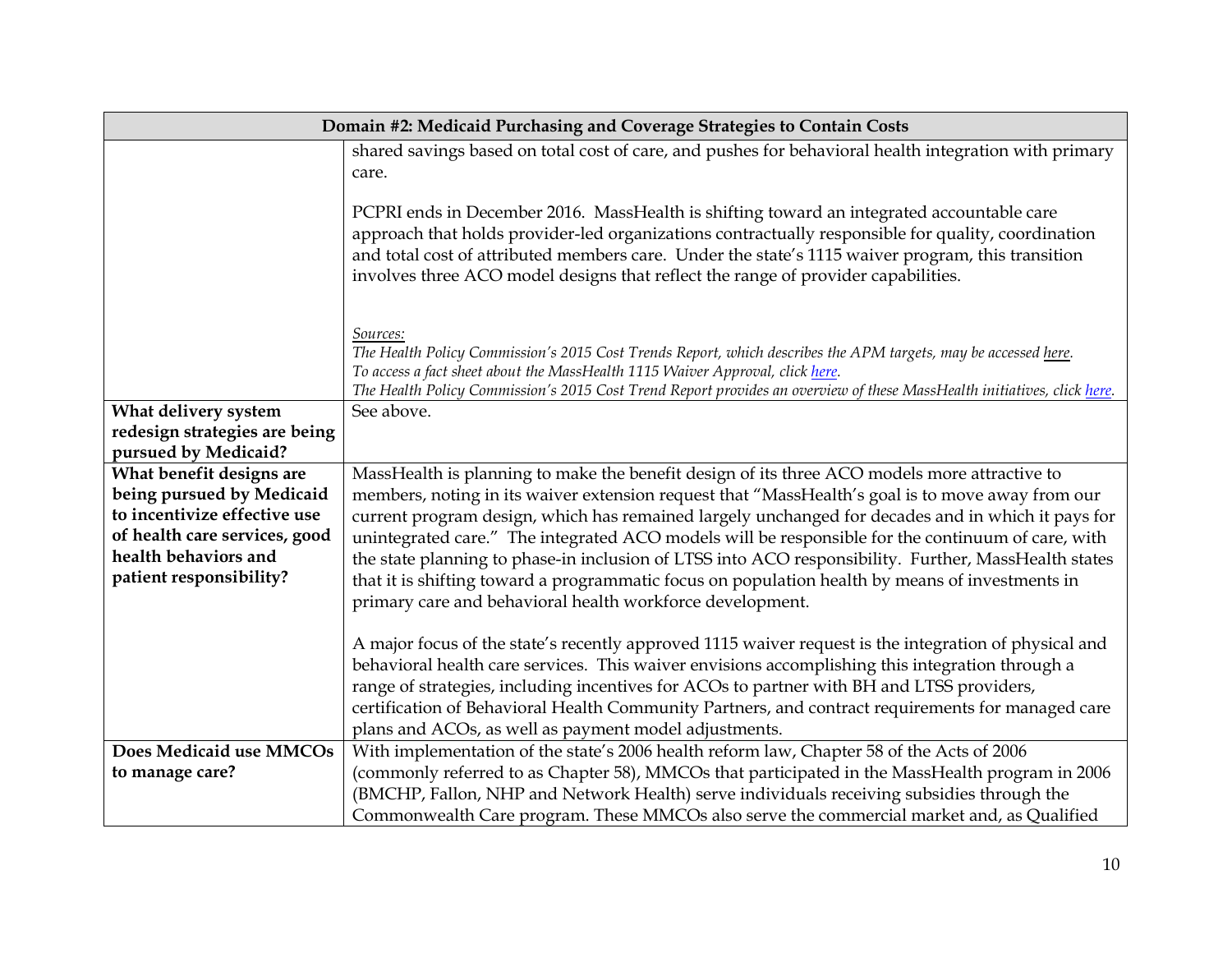| Domain #2: Medicaid Purchasing and Coverage Strategies to Contain Costs |                                                                                                                                                                                                                                                                                                                                                                                                                                                                     |
|-------------------------------------------------------------------------|---------------------------------------------------------------------------------------------------------------------------------------------------------------------------------------------------------------------------------------------------------------------------------------------------------------------------------------------------------------------------------------------------------------------------------------------------------------------|
|                                                                         | shared savings based on total cost of care, and pushes for behavioral health integration with primary                                                                                                                                                                                                                                                                                                                                                               |
|                                                                         | care.                                                                                                                                                                                                                                                                                                                                                                                                                                                               |
|                                                                         | PCPRI ends in December 2016. MassHealth is shifting toward an integrated accountable care<br>approach that holds provider-led organizations contractually responsible for quality, coordination<br>and total cost of attributed members care. Under the state's 1115 waiver program, this transition<br>involves three ACO model designs that reflect the range of provider capabilities.                                                                           |
|                                                                         | Sources:<br>The Health Policy Commission's 2015 Cost Trends Report, which describes the APM targets, may be accessed here.<br>To access a fact sheet about the MassHealth 1115 Waiver Approval, click here.<br>The Health Policy Commission's 2015 Cost Trend Report provides an overview of these MassHealth initiatives, click here.                                                                                                                              |
| What delivery system                                                    | See above.                                                                                                                                                                                                                                                                                                                                                                                                                                                          |
| redesign strategies are being                                           |                                                                                                                                                                                                                                                                                                                                                                                                                                                                     |
| pursued by Medicaid?                                                    |                                                                                                                                                                                                                                                                                                                                                                                                                                                                     |
| What benefit designs are                                                | MassHealth is planning to make the benefit design of its three ACO models more attractive to                                                                                                                                                                                                                                                                                                                                                                        |
| being pursued by Medicaid                                               | members, noting in its waiver extension request that "MassHealth's goal is to move away from our                                                                                                                                                                                                                                                                                                                                                                    |
| to incentivize effective use                                            | current program design, which has remained largely unchanged for decades and in which it pays for                                                                                                                                                                                                                                                                                                                                                                   |
| of health care services, good                                           | unintegrated care." The integrated ACO models will be responsible for the continuum of care, with                                                                                                                                                                                                                                                                                                                                                                   |
| health behaviors and                                                    | the state planning to phase-in inclusion of LTSS into ACO responsibility. Further, MassHealth states                                                                                                                                                                                                                                                                                                                                                                |
| patient responsibility?                                                 | that it is shifting toward a programmatic focus on population health by means of investments in                                                                                                                                                                                                                                                                                                                                                                     |
|                                                                         | primary care and behavioral health workforce development.                                                                                                                                                                                                                                                                                                                                                                                                           |
|                                                                         | A major focus of the state's recently approved 1115 waiver request is the integration of physical and<br>behavioral health care services. This waiver envisions accomplishing this integration through a<br>range of strategies, including incentives for ACOs to partner with BH and LTSS providers,<br>certification of Behavioral Health Community Partners, and contract requirements for managed care<br>plans and ACOs, as well as payment model adjustments. |
| Does Medicaid use MMCOs                                                 | With implementation of the state's 2006 health reform law, Chapter 58 of the Acts of 2006                                                                                                                                                                                                                                                                                                                                                                           |
| to manage care?                                                         | (commonly referred to as Chapter 58), MMCOs that participated in the MassHealth program in 2006                                                                                                                                                                                                                                                                                                                                                                     |
|                                                                         | (BMCHP, Fallon, NHP and Network Health) serve individuals receiving subsidies through the                                                                                                                                                                                                                                                                                                                                                                           |
|                                                                         | Commonwealth Care program. These MMCOs also serve the commercial market and, as Qualified                                                                                                                                                                                                                                                                                                                                                                           |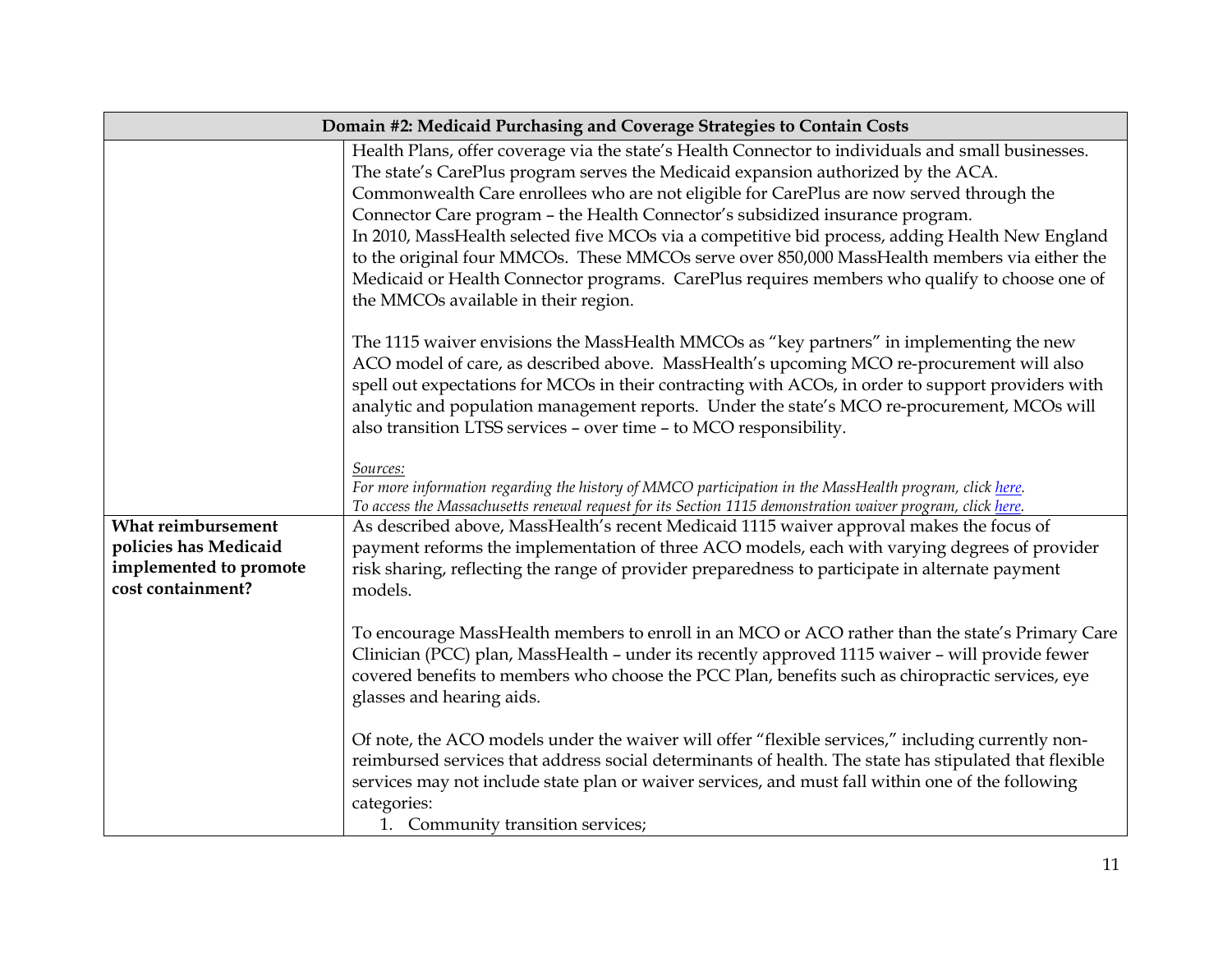|                                                                      | Domain #2: Medicaid Purchasing and Coverage Strategies to Contain Costs                                                                                                                                                                                                                                                                                                                                                                                                                                                                                                                                                                                                                                          |  |
|----------------------------------------------------------------------|------------------------------------------------------------------------------------------------------------------------------------------------------------------------------------------------------------------------------------------------------------------------------------------------------------------------------------------------------------------------------------------------------------------------------------------------------------------------------------------------------------------------------------------------------------------------------------------------------------------------------------------------------------------------------------------------------------------|--|
|                                                                      | Health Plans, offer coverage via the state's Health Connector to individuals and small businesses.<br>The state's CarePlus program serves the Medicaid expansion authorized by the ACA.<br>Commonwealth Care enrollees who are not eligible for CarePlus are now served through the<br>Connector Care program - the Health Connector's subsidized insurance program.<br>In 2010, MassHealth selected five MCOs via a competitive bid process, adding Health New England<br>to the original four MMCOs. These MMCOs serve over 850,000 MassHealth members via either the<br>Medicaid or Health Connector programs. CarePlus requires members who qualify to choose one of<br>the MMCOs available in their region. |  |
|                                                                      | The 1115 waiver envisions the MassHealth MMCOs as "key partners" in implementing the new<br>ACO model of care, as described above. MassHealth's upcoming MCO re-procurement will also<br>spell out expectations for MCOs in their contracting with ACOs, in order to support providers with<br>analytic and population management reports. Under the state's MCO re-procurement, MCOs will<br>also transition LTSS services - over time - to MCO responsibility.                                                                                                                                                                                                                                                 |  |
| What reimbursement                                                   | Sources:<br>For more information regarding the history of MMCO participation in the MassHealth program, click here.<br>To access the Massachusetts renewal request for its Section 1115 demonstration waiver program, click here.<br>As described above, MassHealth's recent Medicaid 1115 waiver approval makes the focus of                                                                                                                                                                                                                                                                                                                                                                                    |  |
| policies has Medicaid<br>implemented to promote<br>cost containment? | payment reforms the implementation of three ACO models, each with varying degrees of provider<br>risk sharing, reflecting the range of provider preparedness to participate in alternate payment<br>models.                                                                                                                                                                                                                                                                                                                                                                                                                                                                                                      |  |
|                                                                      | To encourage MassHealth members to enroll in an MCO or ACO rather than the state's Primary Care<br>Clinician (PCC) plan, MassHealth - under its recently approved 1115 waiver - will provide fewer<br>covered benefits to members who choose the PCC Plan, benefits such as chiropractic services, eye<br>glasses and hearing aids.                                                                                                                                                                                                                                                                                                                                                                              |  |
|                                                                      | Of note, the ACO models under the waiver will offer "flexible services," including currently non-<br>reimbursed services that address social determinants of health. The state has stipulated that flexible<br>services may not include state plan or waiver services, and must fall within one of the following<br>categories:<br>1. Community transition services;                                                                                                                                                                                                                                                                                                                                             |  |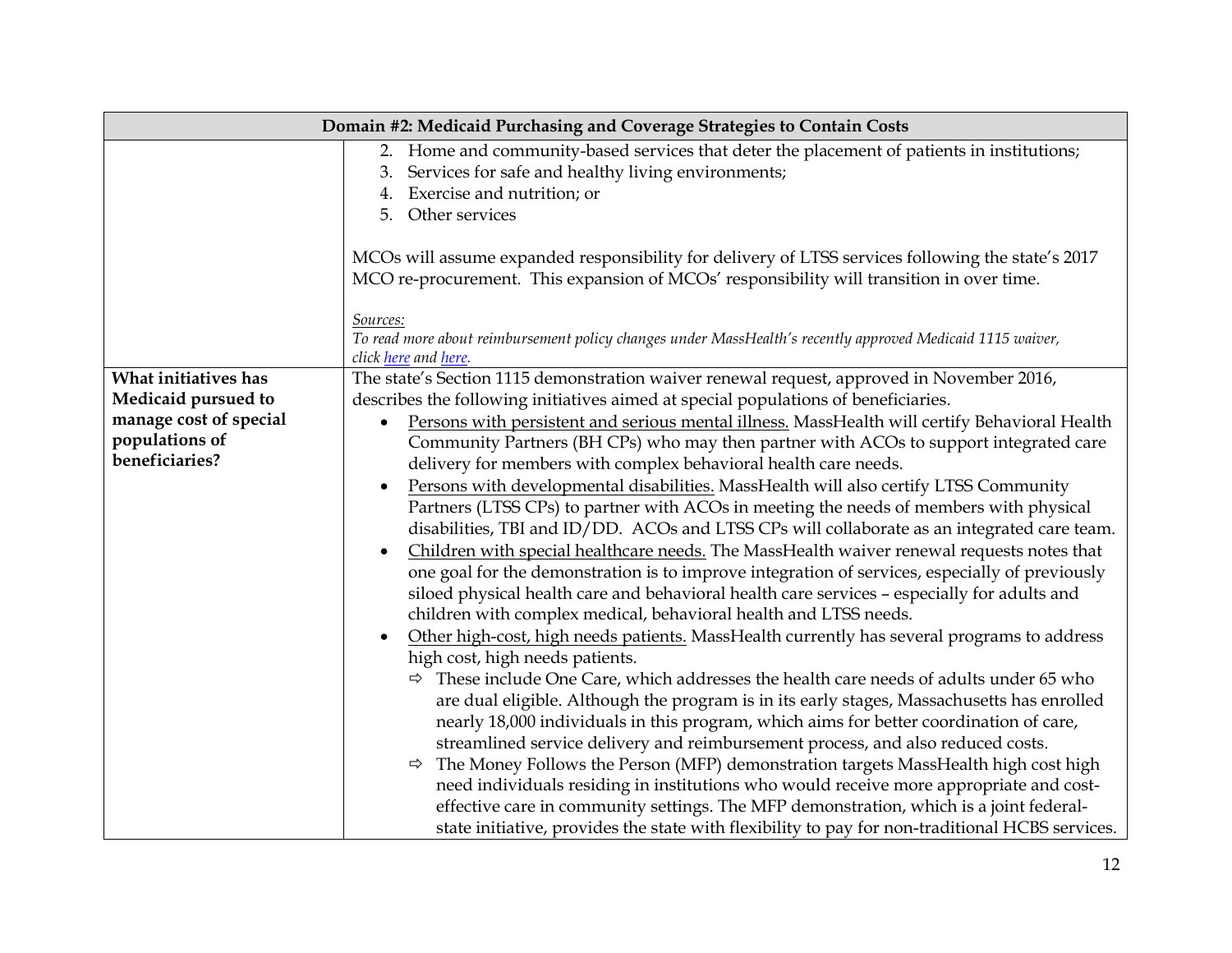|                                                                                   | Domain #2: Medicaid Purchasing and Coverage Strategies to Contain Costs                                                                                                                                                                                                                                                                                                                                                                                                                                                                                                                                                                                                                                                                                                                                                                                                                                                                                                                                                                                                                                                                                                                                                                                                                                                                                                                                                                                                                                                                                                                                                                   |
|-----------------------------------------------------------------------------------|-------------------------------------------------------------------------------------------------------------------------------------------------------------------------------------------------------------------------------------------------------------------------------------------------------------------------------------------------------------------------------------------------------------------------------------------------------------------------------------------------------------------------------------------------------------------------------------------------------------------------------------------------------------------------------------------------------------------------------------------------------------------------------------------------------------------------------------------------------------------------------------------------------------------------------------------------------------------------------------------------------------------------------------------------------------------------------------------------------------------------------------------------------------------------------------------------------------------------------------------------------------------------------------------------------------------------------------------------------------------------------------------------------------------------------------------------------------------------------------------------------------------------------------------------------------------------------------------------------------------------------------------|
|                                                                                   | 2. Home and community-based services that deter the placement of patients in institutions;<br>Services for safe and healthy living environments;<br>4. Exercise and nutrition; or<br>5. Other services<br>MCOs will assume expanded responsibility for delivery of LTSS services following the state's 2017<br>MCO re-procurement. This expansion of MCOs' responsibility will transition in over time.                                                                                                                                                                                                                                                                                                                                                                                                                                                                                                                                                                                                                                                                                                                                                                                                                                                                                                                                                                                                                                                                                                                                                                                                                                   |
|                                                                                   | Sources:<br>To read more about reimbursement policy changes under MassHealth's recently approved Medicaid 1115 waiver,<br>click here and here.                                                                                                                                                                                                                                                                                                                                                                                                                                                                                                                                                                                                                                                                                                                                                                                                                                                                                                                                                                                                                                                                                                                                                                                                                                                                                                                                                                                                                                                                                            |
| What initiatives has                                                              | The state's Section 1115 demonstration waiver renewal request, approved in November 2016,                                                                                                                                                                                                                                                                                                                                                                                                                                                                                                                                                                                                                                                                                                                                                                                                                                                                                                                                                                                                                                                                                                                                                                                                                                                                                                                                                                                                                                                                                                                                                 |
| Medicaid pursued to<br>manage cost of special<br>populations of<br>beneficiaries? | describes the following initiatives aimed at special populations of beneficiaries.<br>Persons with persistent and serious mental illness. MassHealth will certify Behavioral Health<br>$\bullet$<br>Community Partners (BH CPs) who may then partner with ACOs to support integrated care<br>delivery for members with complex behavioral health care needs.<br>Persons with developmental disabilities. MassHealth will also certify LTSS Community<br>٠<br>Partners (LTSS CPs) to partner with ACOs in meeting the needs of members with physical<br>disabilities, TBI and ID/DD. ACOs and LTSS CPs will collaborate as an integrated care team.<br>Children with special healthcare needs. The MassHealth waiver renewal requests notes that<br>$\bullet$<br>one goal for the demonstration is to improve integration of services, especially of previously<br>siloed physical health care and behavioral health care services - especially for adults and<br>children with complex medical, behavioral health and LTSS needs.<br>Other high-cost, high needs patients. MassHealth currently has several programs to address<br>high cost, high needs patients.<br>$\Rightarrow$ These include One Care, which addresses the health care needs of adults under 65 who<br>are dual eligible. Although the program is in its early stages, Massachusetts has enrolled<br>nearly 18,000 individuals in this program, which aims for better coordination of care,<br>streamlined service delivery and reimbursement process, and also reduced costs.<br>The Money Follows the Person (MFP) demonstration targets MassHealth high cost high |
|                                                                                   | need individuals residing in institutions who would receive more appropriate and cost-<br>effective care in community settings. The MFP demonstration, which is a joint federal-<br>state initiative, provides the state with flexibility to pay for non-traditional HCBS services.                                                                                                                                                                                                                                                                                                                                                                                                                                                                                                                                                                                                                                                                                                                                                                                                                                                                                                                                                                                                                                                                                                                                                                                                                                                                                                                                                       |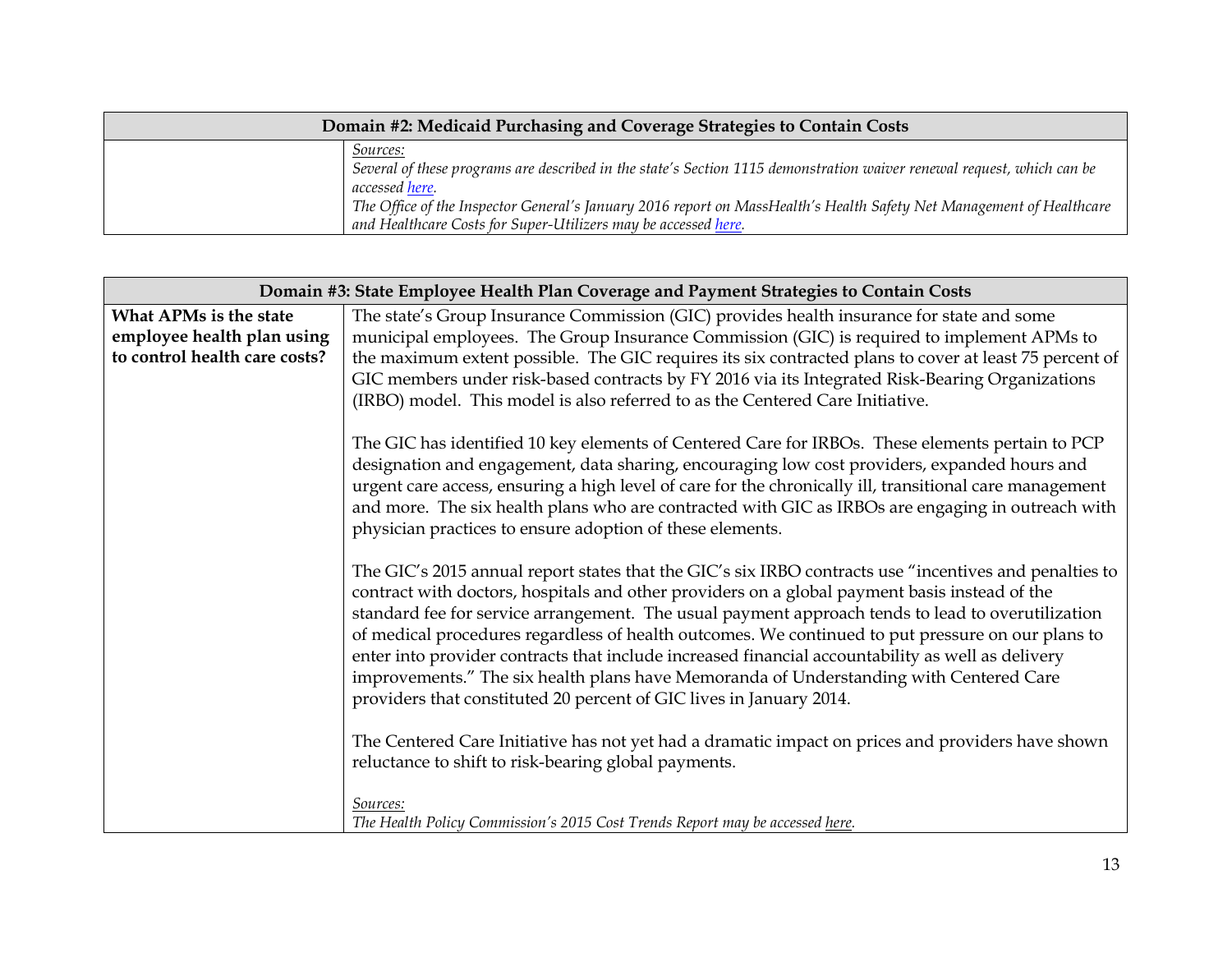| Domain #2: Medicaid Purchasing and Coverage Strategies to Contain Costs |                                                                                                                                                                                                                                                                                                                                                       |
|-------------------------------------------------------------------------|-------------------------------------------------------------------------------------------------------------------------------------------------------------------------------------------------------------------------------------------------------------------------------------------------------------------------------------------------------|
|                                                                         | Sources:<br>Several of these programs are described in the state's Section 1115 demonstration waiver renewal request, which can be<br><i>accessed here.</i><br>The Office of the Inspector General's January 2016 report on MassHealth's Health Safety Net Management of Healthcare<br>and Healthcare Costs for Super-Utilizers may be accessed here. |

| Domain #3: State Employee Health Plan Coverage and Payment Strategies to Contain Costs |                                                                                                                                                                                                                                                                                                                                                                                                                                                                                                                                                                                                                                                                                         |
|----------------------------------------------------------------------------------------|-----------------------------------------------------------------------------------------------------------------------------------------------------------------------------------------------------------------------------------------------------------------------------------------------------------------------------------------------------------------------------------------------------------------------------------------------------------------------------------------------------------------------------------------------------------------------------------------------------------------------------------------------------------------------------------------|
| What APMs is the state<br>employee health plan using<br>to control health care costs?  | The state's Group Insurance Commission (GIC) provides health insurance for state and some<br>municipal employees. The Group Insurance Commission (GIC) is required to implement APMs to<br>the maximum extent possible. The GIC requires its six contracted plans to cover at least 75 percent of<br>GIC members under risk-based contracts by FY 2016 via its Integrated Risk-Bearing Organizations<br>(IRBO) model. This model is also referred to as the Centered Care Initiative.                                                                                                                                                                                                   |
|                                                                                        | The GIC has identified 10 key elements of Centered Care for IRBOs. These elements pertain to PCP<br>designation and engagement, data sharing, encouraging low cost providers, expanded hours and<br>urgent care access, ensuring a high level of care for the chronically ill, transitional care management<br>and more. The six health plans who are contracted with GIC as IRBOs are engaging in outreach with<br>physician practices to ensure adoption of these elements.                                                                                                                                                                                                           |
|                                                                                        | The GIC's 2015 annual report states that the GIC's six IRBO contracts use "incentives and penalties to<br>contract with doctors, hospitals and other providers on a global payment basis instead of the<br>standard fee for service arrangement. The usual payment approach tends to lead to overutilization<br>of medical procedures regardless of health outcomes. We continued to put pressure on our plans to<br>enter into provider contracts that include increased financial accountability as well as delivery<br>improvements." The six health plans have Memoranda of Understanding with Centered Care<br>providers that constituted 20 percent of GIC lives in January 2014. |
|                                                                                        | The Centered Care Initiative has not yet had a dramatic impact on prices and providers have shown<br>reluctance to shift to risk-bearing global payments.<br>Sources:<br>The Health Policy Commission's 2015 Cost Trends Report may be accessed here.                                                                                                                                                                                                                                                                                                                                                                                                                                   |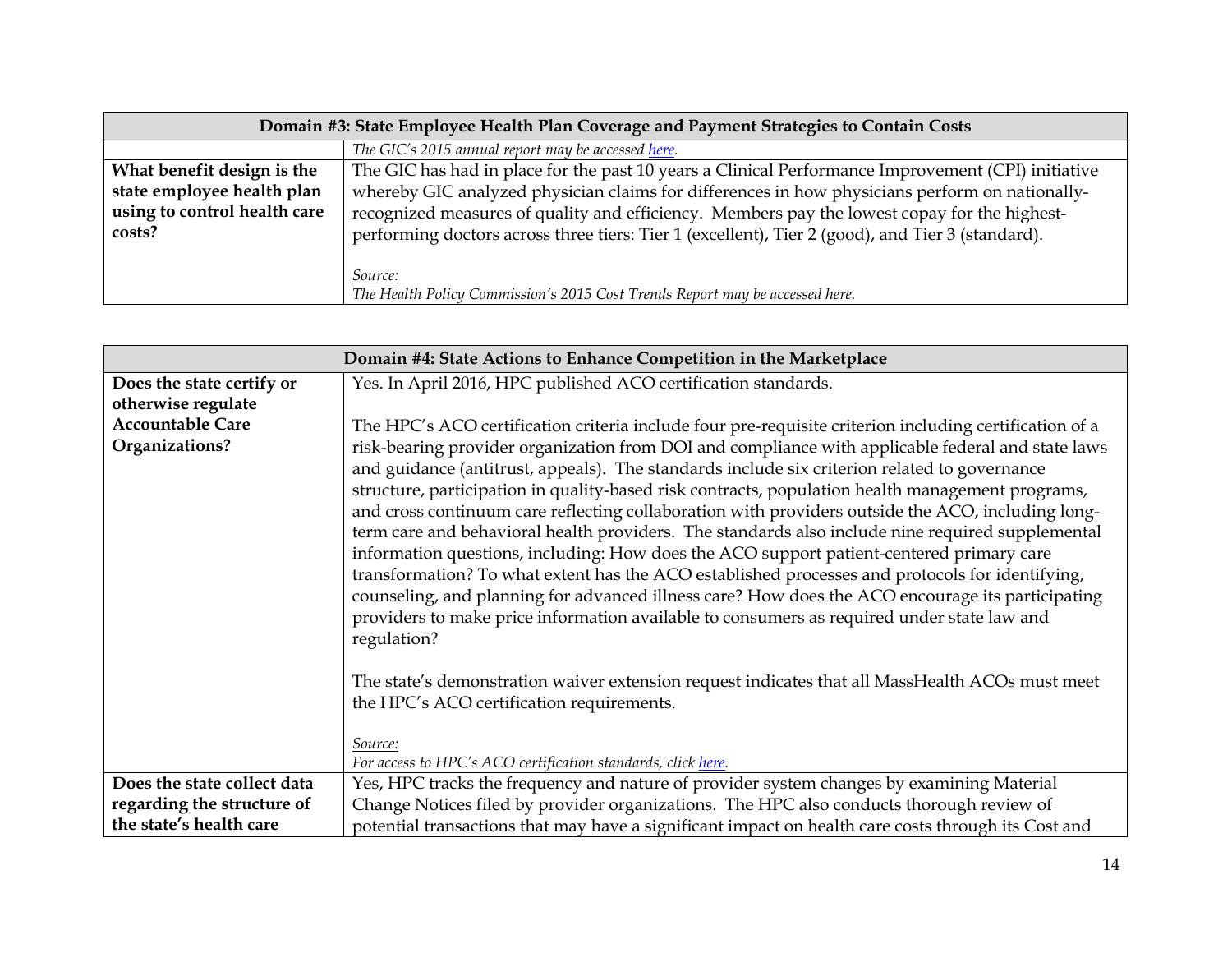| Domain #3: State Employee Health Plan Coverage and Payment Strategies to Contain Costs |                                                                                                    |
|----------------------------------------------------------------------------------------|----------------------------------------------------------------------------------------------------|
|                                                                                        | The GIC's 2015 annual report may be accessed here.                                                 |
| What benefit design is the                                                             | The GIC has had in place for the past 10 years a Clinical Performance Improvement (CPI) initiative |
| state employee health plan                                                             | whereby GIC analyzed physician claims for differences in how physicians perform on nationally-     |
| using to control health care                                                           | recognized measures of quality and efficiency. Members pay the lowest copay for the highest-       |
| costs?                                                                                 | performing doctors across three tiers: Tier 1 (excellent), Tier 2 (good), and Tier 3 (standard).   |
|                                                                                        |                                                                                                    |
|                                                                                        | <i>Source:</i>                                                                                     |
|                                                                                        | The Health Policy Commission's 2015 Cost Trends Report may be accessed here.                       |

| Domain #4: State Actions to Enhance Competition in the Marketplace |                                                                                                                                                                                                                                                                                                                                                                                                                                                                                                                                                                                                                                                                                                                                                                                                                                                                                                                                |
|--------------------------------------------------------------------|--------------------------------------------------------------------------------------------------------------------------------------------------------------------------------------------------------------------------------------------------------------------------------------------------------------------------------------------------------------------------------------------------------------------------------------------------------------------------------------------------------------------------------------------------------------------------------------------------------------------------------------------------------------------------------------------------------------------------------------------------------------------------------------------------------------------------------------------------------------------------------------------------------------------------------|
| Does the state certify or                                          | Yes. In April 2016, HPC published ACO certification standards.                                                                                                                                                                                                                                                                                                                                                                                                                                                                                                                                                                                                                                                                                                                                                                                                                                                                 |
| otherwise regulate                                                 |                                                                                                                                                                                                                                                                                                                                                                                                                                                                                                                                                                                                                                                                                                                                                                                                                                                                                                                                |
| <b>Accountable Care</b>                                            | The HPC's ACO certification criteria include four pre-requisite criterion including certification of a                                                                                                                                                                                                                                                                                                                                                                                                                                                                                                                                                                                                                                                                                                                                                                                                                         |
| Organizations?                                                     | risk-bearing provider organization from DOI and compliance with applicable federal and state laws<br>and guidance (antitrust, appeals). The standards include six criterion related to governance<br>structure, participation in quality-based risk contracts, population health management programs,<br>and cross continuum care reflecting collaboration with providers outside the ACO, including long-<br>term care and behavioral health providers. The standards also include nine required supplemental<br>information questions, including: How does the ACO support patient-centered primary care<br>transformation? To what extent has the ACO established processes and protocols for identifying,<br>counseling, and planning for advanced illness care? How does the ACO encourage its participating<br>providers to make price information available to consumers as required under state law and<br>regulation? |
|                                                                    | The state's demonstration waiver extension request indicates that all MassHealth ACOs must meet<br>the HPC's ACO certification requirements.                                                                                                                                                                                                                                                                                                                                                                                                                                                                                                                                                                                                                                                                                                                                                                                   |
|                                                                    | Source:                                                                                                                                                                                                                                                                                                                                                                                                                                                                                                                                                                                                                                                                                                                                                                                                                                                                                                                        |
|                                                                    | For access to HPC's ACO certification standards, click here.                                                                                                                                                                                                                                                                                                                                                                                                                                                                                                                                                                                                                                                                                                                                                                                                                                                                   |
| Does the state collect data                                        | Yes, HPC tracks the frequency and nature of provider system changes by examining Material                                                                                                                                                                                                                                                                                                                                                                                                                                                                                                                                                                                                                                                                                                                                                                                                                                      |
| regarding the structure of                                         | Change Notices filed by provider organizations. The HPC also conducts thorough review of                                                                                                                                                                                                                                                                                                                                                                                                                                                                                                                                                                                                                                                                                                                                                                                                                                       |
| the state's health care                                            | potential transactions that may have a significant impact on health care costs through its Cost and                                                                                                                                                                                                                                                                                                                                                                                                                                                                                                                                                                                                                                                                                                                                                                                                                            |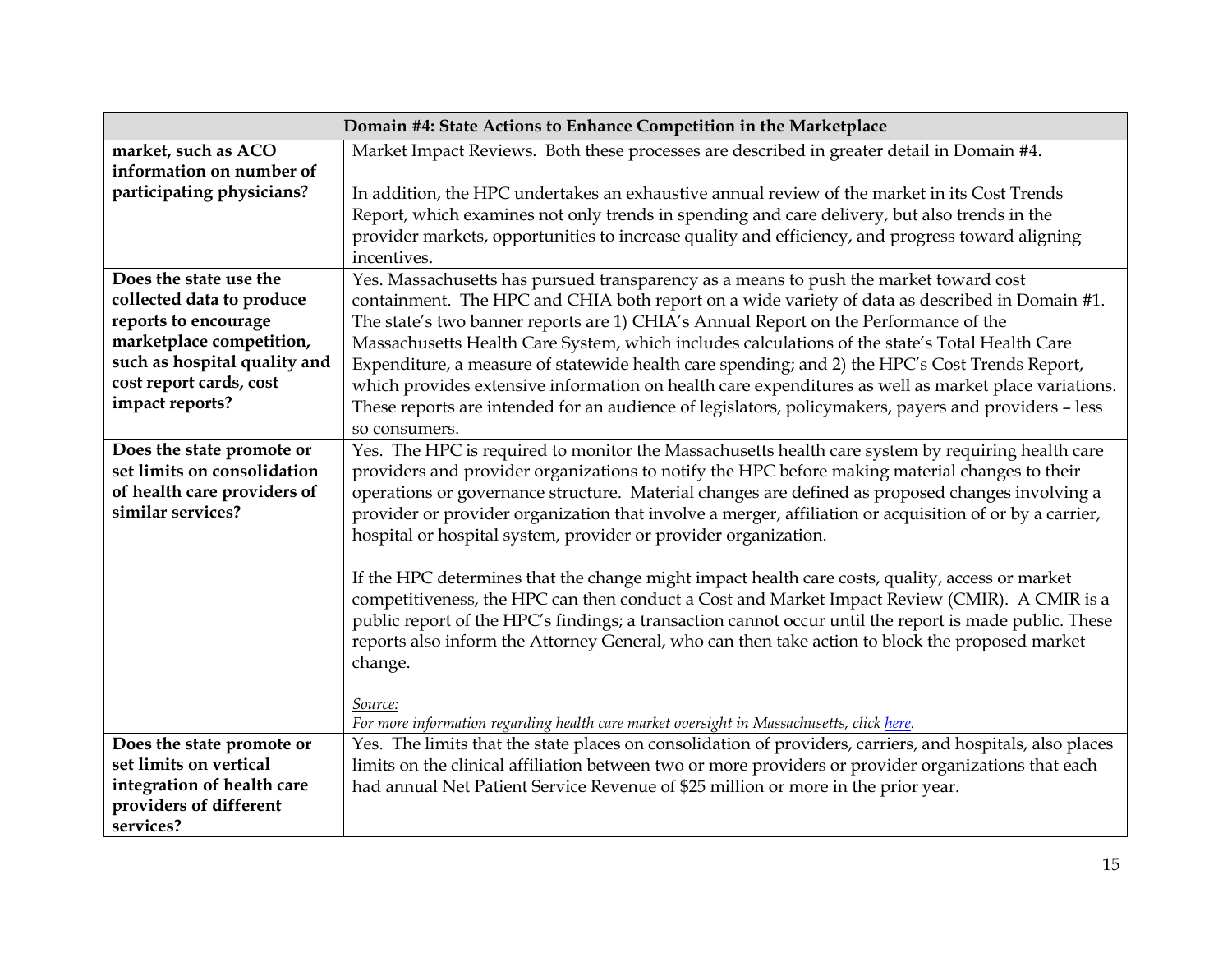| Domain #4: State Actions to Enhance Competition in the Marketplace |                                                                                                           |
|--------------------------------------------------------------------|-----------------------------------------------------------------------------------------------------------|
| market, such as ACO                                                | Market Impact Reviews. Both these processes are described in greater detail in Domain #4.                 |
| information on number of                                           |                                                                                                           |
| participating physicians?                                          | In addition, the HPC undertakes an exhaustive annual review of the market in its Cost Trends              |
|                                                                    | Report, which examines not only trends in spending and care delivery, but also trends in the              |
|                                                                    | provider markets, opportunities to increase quality and efficiency, and progress toward aligning          |
|                                                                    | incentives.                                                                                               |
| Does the state use the                                             | Yes. Massachusetts has pursued transparency as a means to push the market toward cost                     |
| collected data to produce                                          | containment. The HPC and CHIA both report on a wide variety of data as described in Domain #1.            |
| reports to encourage                                               | The state's two banner reports are 1) CHIA's Annual Report on the Performance of the                      |
| marketplace competition,                                           | Massachusetts Health Care System, which includes calculations of the state's Total Health Care            |
| such as hospital quality and                                       | Expenditure, a measure of statewide health care spending; and 2) the HPC's Cost Trends Report,            |
| cost report cards, cost                                            | which provides extensive information on health care expenditures as well as market place variations.      |
| impact reports?                                                    | These reports are intended for an audience of legislators, policymakers, payers and providers - less      |
|                                                                    | so consumers.                                                                                             |
| Does the state promote or                                          | Yes. The HPC is required to monitor the Massachusetts health care system by requiring health care         |
| set limits on consolidation                                        | providers and provider organizations to notify the HPC before making material changes to their            |
| of health care providers of                                        | operations or governance structure. Material changes are defined as proposed changes involving a          |
| similar services?                                                  | provider or provider organization that involve a merger, affiliation or acquisition of or by a carrier,   |
|                                                                    | hospital or hospital system, provider or provider organization.                                           |
|                                                                    |                                                                                                           |
|                                                                    | If the HPC determines that the change might impact health care costs, quality, access or market           |
|                                                                    | competitiveness, the HPC can then conduct a Cost and Market Impact Review (CMIR). A CMIR is a             |
|                                                                    | public report of the HPC's findings; a transaction cannot occur until the report is made public. These    |
|                                                                    | reports also inform the Attorney General, who can then take action to block the proposed market           |
|                                                                    | change.                                                                                                   |
|                                                                    |                                                                                                           |
|                                                                    | Source:                                                                                                   |
|                                                                    | For more information regarding health care market oversight in Massachusetts, click here.                 |
| Does the state promote or<br>set limits on vertical                | Yes. The limits that the state places on consolidation of providers, carriers, and hospitals, also places |
| integration of health care                                         | limits on the clinical affiliation between two or more providers or provider organizations that each      |
| providers of different                                             | had annual Net Patient Service Revenue of \$25 million or more in the prior year.                         |
| services?                                                          |                                                                                                           |
|                                                                    |                                                                                                           |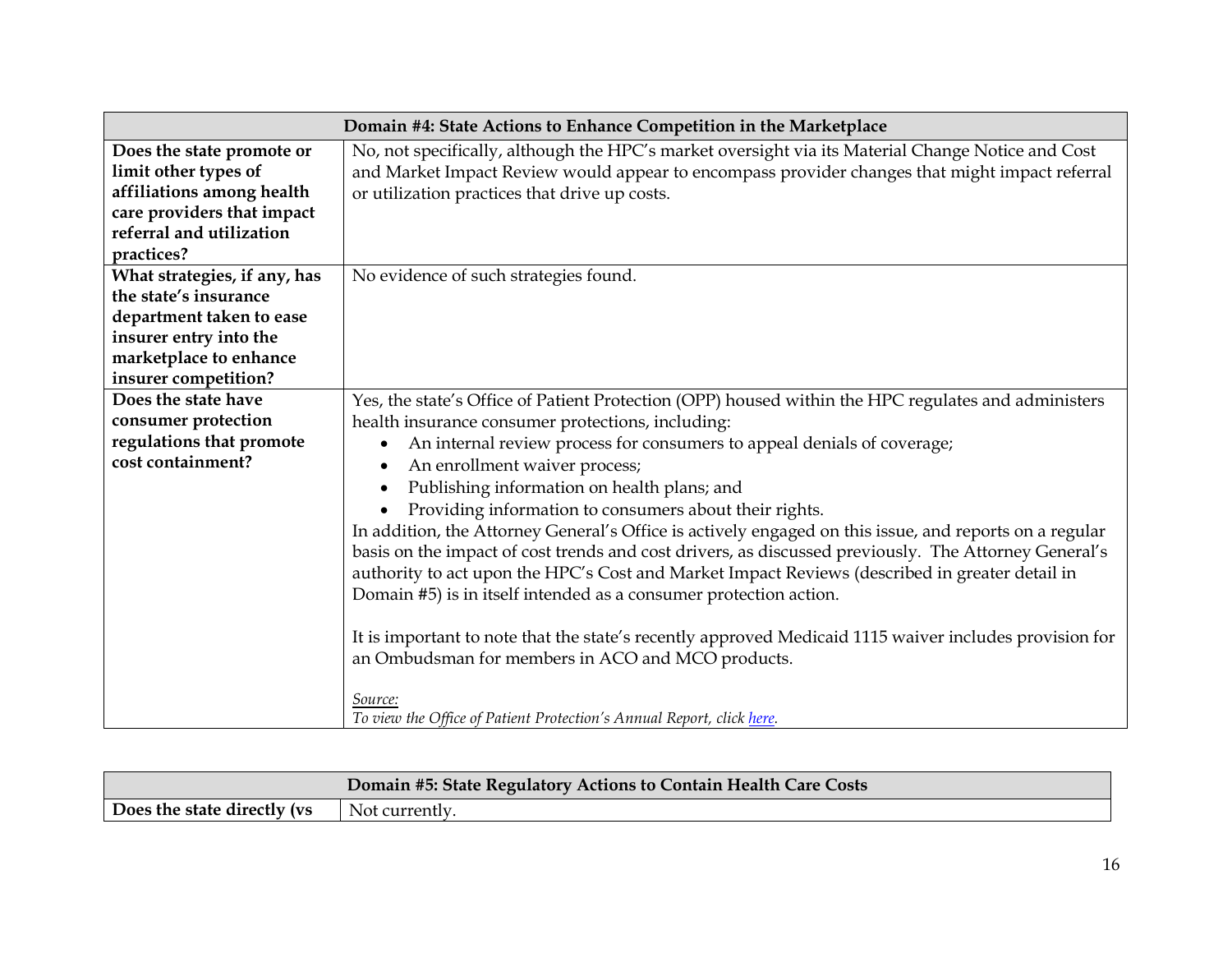|                                                                                                                                                               | Domain #4: State Actions to Enhance Competition in the Marketplace                                                                                                                                                                                                                                                                                                                                                                                                                                                                                                                                                                                                                                                                                                                                                                                                                                                                                                                                                                                               |  |
|---------------------------------------------------------------------------------------------------------------------------------------------------------------|------------------------------------------------------------------------------------------------------------------------------------------------------------------------------------------------------------------------------------------------------------------------------------------------------------------------------------------------------------------------------------------------------------------------------------------------------------------------------------------------------------------------------------------------------------------------------------------------------------------------------------------------------------------------------------------------------------------------------------------------------------------------------------------------------------------------------------------------------------------------------------------------------------------------------------------------------------------------------------------------------------------------------------------------------------------|--|
| Does the state promote or<br>limit other types of<br>affiliations among health<br>care providers that impact<br>referral and utilization<br>practices?        | No, not specifically, although the HPC's market oversight via its Material Change Notice and Cost<br>and Market Impact Review would appear to encompass provider changes that might impact referral<br>or utilization practices that drive up costs.                                                                                                                                                                                                                                                                                                                                                                                                                                                                                                                                                                                                                                                                                                                                                                                                             |  |
| What strategies, if any, has<br>the state's insurance<br>department taken to ease<br>insurer entry into the<br>marketplace to enhance<br>insurer competition? | No evidence of such strategies found.                                                                                                                                                                                                                                                                                                                                                                                                                                                                                                                                                                                                                                                                                                                                                                                                                                                                                                                                                                                                                            |  |
| Does the state have<br>consumer protection<br>regulations that promote<br>cost containment?                                                                   | Yes, the state's Office of Patient Protection (OPP) housed within the HPC regulates and administers<br>health insurance consumer protections, including:<br>An internal review process for consumers to appeal denials of coverage;<br>$\bullet$<br>An enrollment waiver process;<br>$\bullet$<br>Publishing information on health plans; and<br>$\bullet$<br>Providing information to consumers about their rights.<br>In addition, the Attorney General's Office is actively engaged on this issue, and reports on a regular<br>basis on the impact of cost trends and cost drivers, as discussed previously. The Attorney General's<br>authority to act upon the HPC's Cost and Market Impact Reviews (described in greater detail in<br>Domain #5) is in itself intended as a consumer protection action.<br>It is important to note that the state's recently approved Medicaid 1115 waiver includes provision for<br>an Ombudsman for members in ACO and MCO products.<br>Source:<br>To view the Office of Patient Protection's Annual Report, click here. |  |

|                             | Domain #5: State Regulatory Actions to Contain Health Care Costs |
|-----------------------------|------------------------------------------------------------------|
| Does the state directly (vs | - Not currently.                                                 |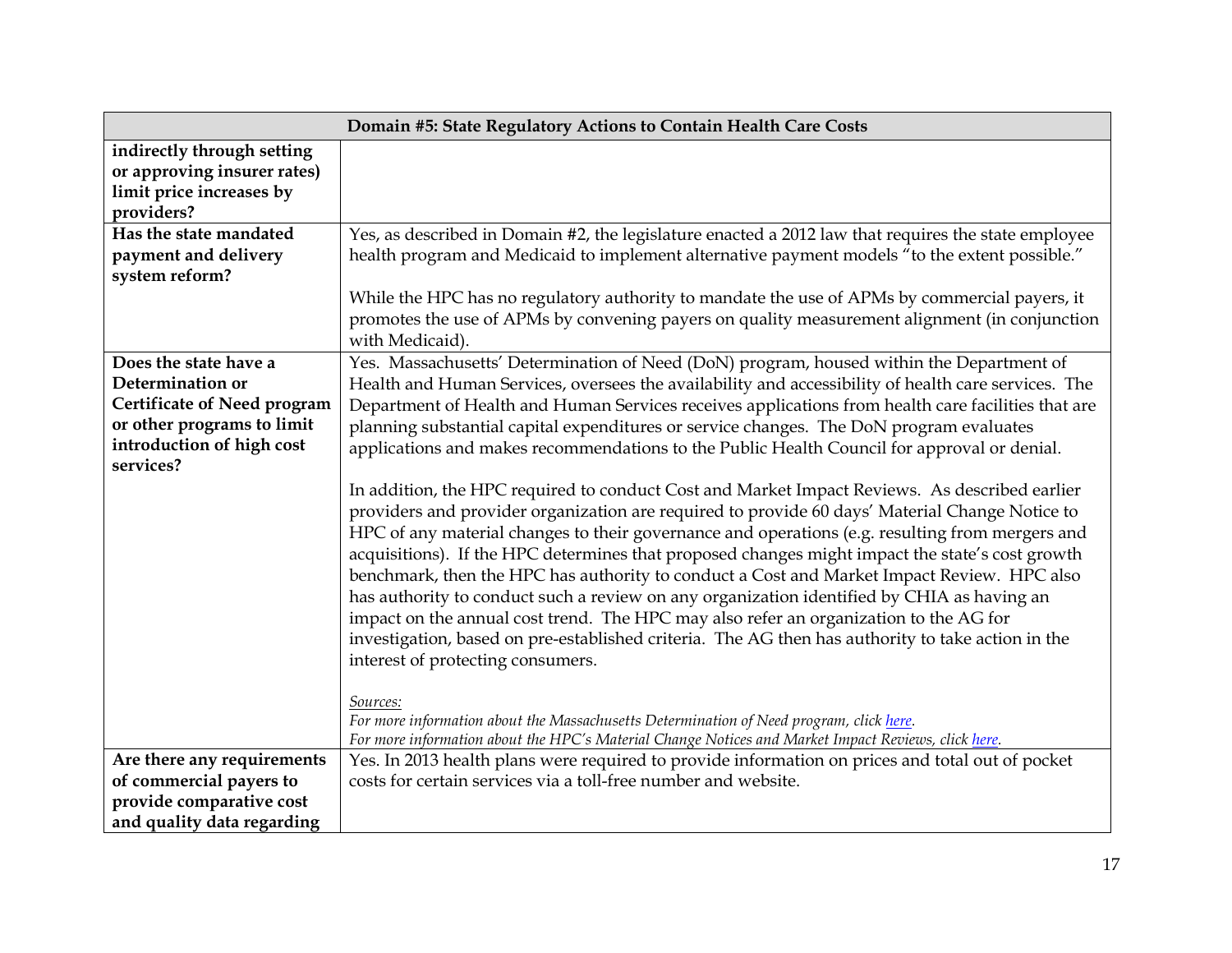|                                                                                                                                                         | Domain #5: State Regulatory Actions to Contain Health Care Costs                                                                                                                                                                                                                                                                                                                                                                                                                                                                                                                                                                                                                                                                                                                                                                                                                                                                                                                                                                                                                                                                                                                                                                                                                                                                                                                                                                               |
|---------------------------------------------------------------------------------------------------------------------------------------------------------|------------------------------------------------------------------------------------------------------------------------------------------------------------------------------------------------------------------------------------------------------------------------------------------------------------------------------------------------------------------------------------------------------------------------------------------------------------------------------------------------------------------------------------------------------------------------------------------------------------------------------------------------------------------------------------------------------------------------------------------------------------------------------------------------------------------------------------------------------------------------------------------------------------------------------------------------------------------------------------------------------------------------------------------------------------------------------------------------------------------------------------------------------------------------------------------------------------------------------------------------------------------------------------------------------------------------------------------------------------------------------------------------------------------------------------------------|
| indirectly through setting<br>or approving insurer rates)<br>limit price increases by<br>providers?                                                     |                                                                                                                                                                                                                                                                                                                                                                                                                                                                                                                                                                                                                                                                                                                                                                                                                                                                                                                                                                                                                                                                                                                                                                                                                                                                                                                                                                                                                                                |
| Has the state mandated<br>payment and delivery<br>system reform?                                                                                        | Yes, as described in Domain #2, the legislature enacted a 2012 law that requires the state employee<br>health program and Medicaid to implement alternative payment models "to the extent possible."<br>While the HPC has no regulatory authority to mandate the use of APMs by commercial payers, it<br>promotes the use of APMs by convening payers on quality measurement alignment (in conjunction<br>with Medicaid).                                                                                                                                                                                                                                                                                                                                                                                                                                                                                                                                                                                                                                                                                                                                                                                                                                                                                                                                                                                                                      |
| Does the state have a<br>Determination or<br><b>Certificate of Need program</b><br>or other programs to limit<br>introduction of high cost<br>services? | Yes. Massachusetts' Determination of Need (DoN) program, housed within the Department of<br>Health and Human Services, oversees the availability and accessibility of health care services. The<br>Department of Health and Human Services receives applications from health care facilities that are<br>planning substantial capital expenditures or service changes. The DoN program evaluates<br>applications and makes recommendations to the Public Health Council for approval or denial.<br>In addition, the HPC required to conduct Cost and Market Impact Reviews. As described earlier<br>providers and provider organization are required to provide 60 days' Material Change Notice to<br>HPC of any material changes to their governance and operations (e.g. resulting from mergers and<br>acquisitions). If the HPC determines that proposed changes might impact the state's cost growth<br>benchmark, then the HPC has authority to conduct a Cost and Market Impact Review. HPC also<br>has authority to conduct such a review on any organization identified by CHIA as having an<br>impact on the annual cost trend. The HPC may also refer an organization to the AG for<br>investigation, based on pre-established criteria. The AG then has authority to take action in the<br>interest of protecting consumers.<br>Sources:<br>For more information about the Massachusetts Determination of Need program, click here. |
| Are there any requirements<br>of commercial payers to<br>provide comparative cost<br>and quality data regarding                                         | For more information about the HPC's Material Change Notices and Market Impact Reviews, click here.<br>Yes. In 2013 health plans were required to provide information on prices and total out of pocket<br>costs for certain services via a toll-free number and website.                                                                                                                                                                                                                                                                                                                                                                                                                                                                                                                                                                                                                                                                                                                                                                                                                                                                                                                                                                                                                                                                                                                                                                      |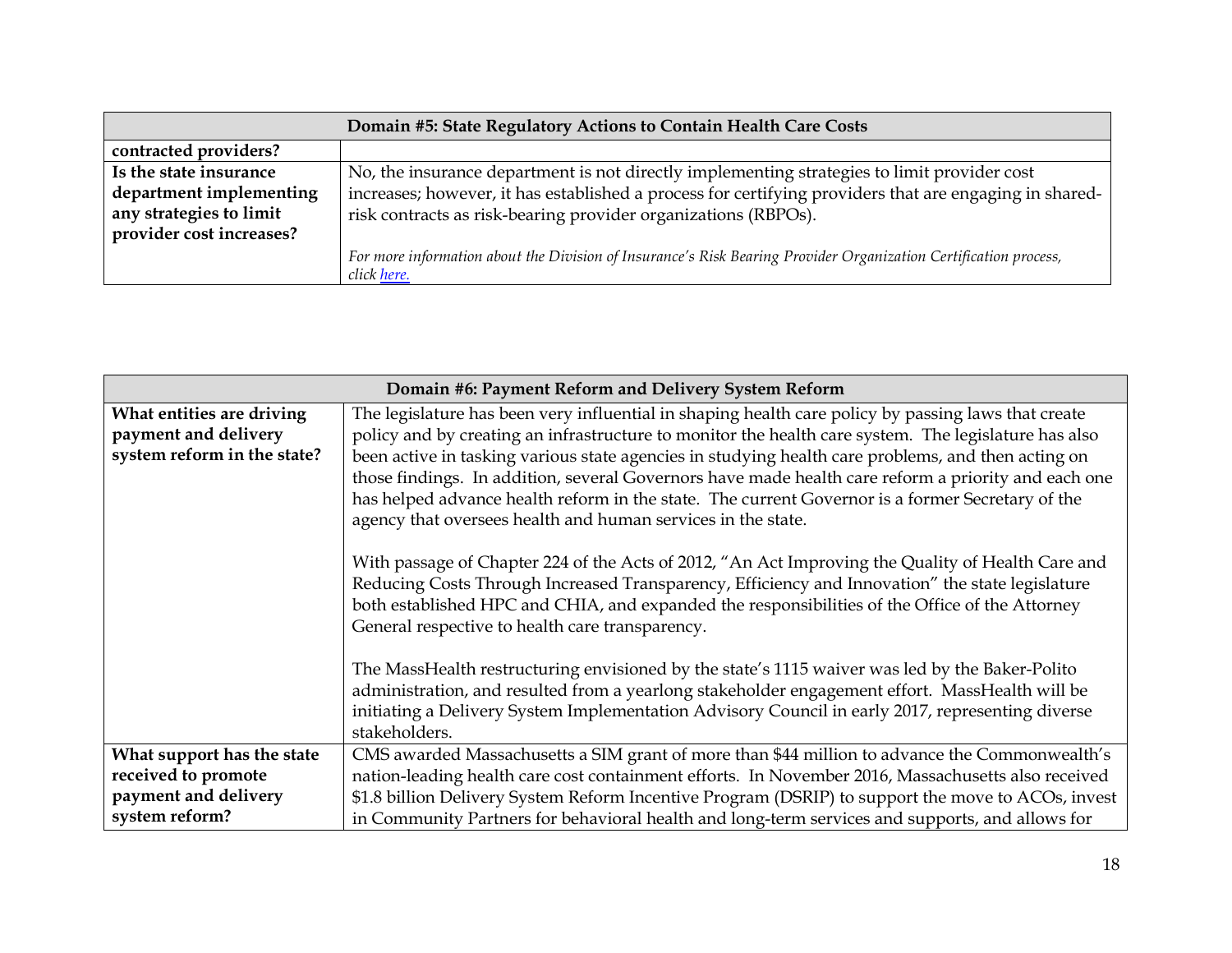| Domain #5: State Regulatory Actions to Contain Health Care Costs |                                                                                                                  |
|------------------------------------------------------------------|------------------------------------------------------------------------------------------------------------------|
| contracted providers?                                            |                                                                                                                  |
| Is the state insurance                                           | No, the insurance department is not directly implementing strategies to limit provider cost                      |
| department implementing                                          | increases; however, it has established a process for certifying providers that are engaging in shared-           |
| any strategies to limit                                          | risk contracts as risk-bearing provider organizations (RBPOs).                                                   |
| provider cost increases?                                         |                                                                                                                  |
|                                                                  | For more information about the Division of Insurance's Risk Bearing Provider Organization Certification process, |
|                                                                  | click here.                                                                                                      |

| Domain #6: Payment Reform and Delivery System Reform |                                                                                                      |
|------------------------------------------------------|------------------------------------------------------------------------------------------------------|
| What entities are driving                            | The legislature has been very influential in shaping health care policy by passing laws that create  |
| payment and delivery                                 | policy and by creating an infrastructure to monitor the health care system. The legislature has also |
| system reform in the state?                          | been active in tasking various state agencies in studying health care problems, and then acting on   |
|                                                      | those findings. In addition, several Governors have made health care reform a priority and each one  |
|                                                      | has helped advance health reform in the state. The current Governor is a former Secretary of the     |
|                                                      | agency that oversees health and human services in the state.                                         |
|                                                      |                                                                                                      |
|                                                      | With passage of Chapter 224 of the Acts of 2012, "An Act Improving the Quality of Health Care and    |
|                                                      | Reducing Costs Through Increased Transparency, Efficiency and Innovation" the state legislature      |
|                                                      | both established HPC and CHIA, and expanded the responsibilities of the Office of the Attorney       |
|                                                      | General respective to health care transparency.                                                      |
|                                                      |                                                                                                      |
|                                                      | The MassHealth restructuring envisioned by the state's 1115 waiver was led by the Baker-Polito       |
|                                                      | administration, and resulted from a yearlong stakeholder engagement effort. MassHealth will be       |
|                                                      | initiating a Delivery System Implementation Advisory Council in early 2017, representing diverse     |
|                                                      | stakeholders.                                                                                        |
| What support has the state                           | CMS awarded Massachusetts a SIM grant of more than \$44 million to advance the Commonwealth's        |
| received to promote                                  | nation-leading health care cost containment efforts. In November 2016, Massachusetts also received   |
| payment and delivery                                 | \$1.8 billion Delivery System Reform Incentive Program (DSRIP) to support the move to ACOs, invest   |
| system reform?                                       | in Community Partners for behavioral health and long-term services and supports, and allows for      |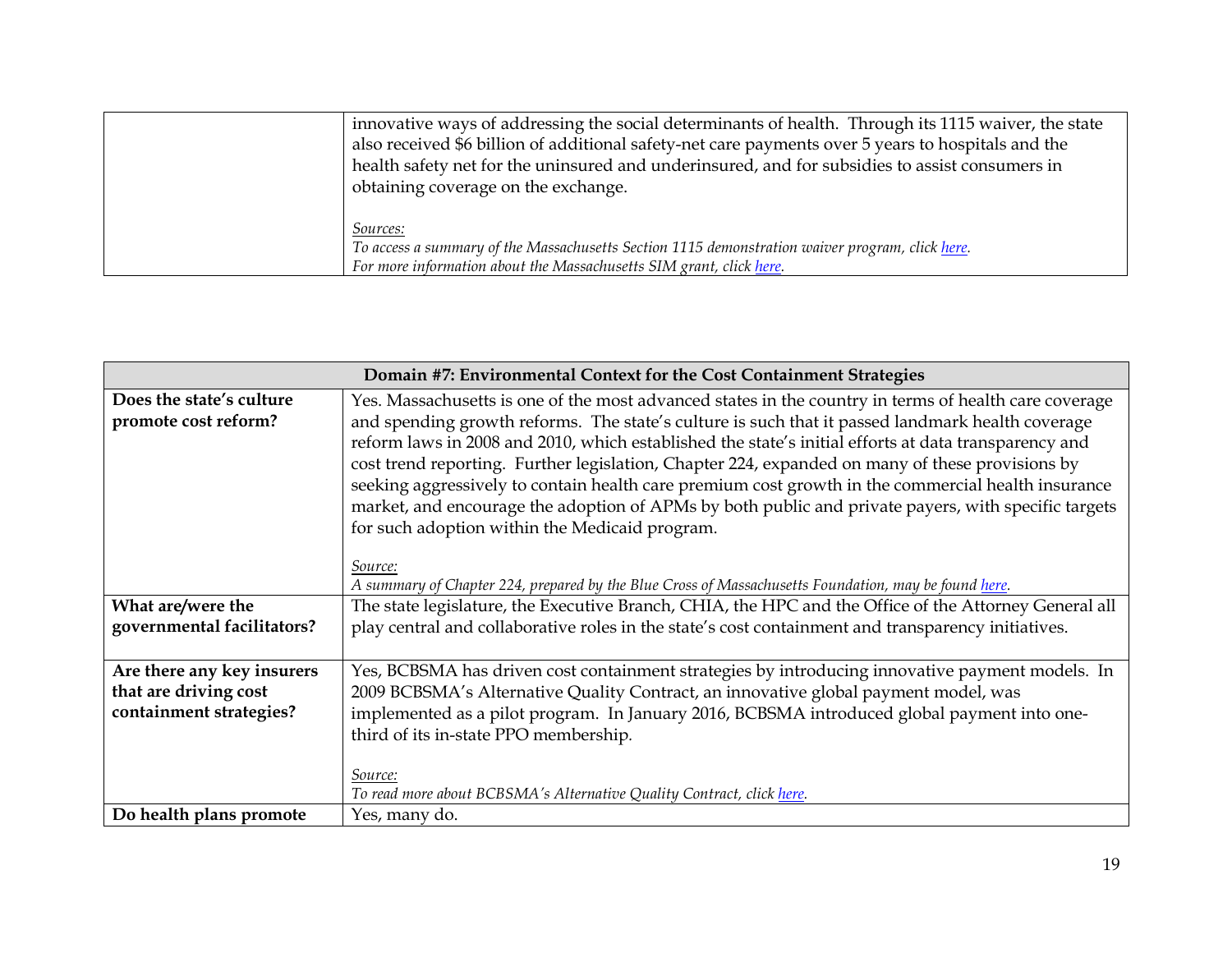| innovative ways of addressing the social determinants of health. Through its 1115 waiver, the state<br>also received \$6 billion of additional safety-net care payments over 5 years to hospitals and the<br>health safety net for the uninsured and underinsured, and for subsidies to assist consumers in<br>obtaining coverage on the exchange. |
|----------------------------------------------------------------------------------------------------------------------------------------------------------------------------------------------------------------------------------------------------------------------------------------------------------------------------------------------------|
| <i>Sources:</i><br>To access a summary of the Massachusetts Section 1115 demonstration waiver program, click here.<br>For more information about the Massachusetts SIM grant, click here.                                                                                                                                                          |

| Domain #7: Environmental Context for the Cost Containment Strategies |                                                                                                                                                       |  |  |
|----------------------------------------------------------------------|-------------------------------------------------------------------------------------------------------------------------------------------------------|--|--|
| Does the state's culture                                             | Yes. Massachusetts is one of the most advanced states in the country in terms of health care coverage                                                 |  |  |
| promote cost reform?                                                 | and spending growth reforms. The state's culture is such that it passed landmark health coverage                                                      |  |  |
|                                                                      | reform laws in 2008 and 2010, which established the state's initial efforts at data transparency and                                                  |  |  |
|                                                                      | cost trend reporting. Further legislation, Chapter 224, expanded on many of these provisions by                                                       |  |  |
|                                                                      | seeking aggressively to contain health care premium cost growth in the commercial health insurance                                                    |  |  |
|                                                                      | market, and encourage the adoption of APMs by both public and private payers, with specific targets<br>for such adoption within the Medicaid program. |  |  |
|                                                                      |                                                                                                                                                       |  |  |
|                                                                      | Source:                                                                                                                                               |  |  |
|                                                                      | A summary of Chapter 224, prepared by the Blue Cross of Massachusetts Foundation, may be found here.                                                  |  |  |
| What are/were the                                                    | The state legislature, the Executive Branch, CHIA, the HPC and the Office of the Attorney General all                                                 |  |  |
| governmental facilitators?                                           | play central and collaborative roles in the state's cost containment and transparency initiatives.                                                    |  |  |
|                                                                      |                                                                                                                                                       |  |  |
| Are there any key insurers                                           | Yes, BCBSMA has driven cost containment strategies by introducing innovative payment models. In                                                       |  |  |
| that are driving cost                                                | 2009 BCBSMA's Alternative Quality Contract, an innovative global payment model, was                                                                   |  |  |
| containment strategies?                                              | implemented as a pilot program. In January 2016, BCBSMA introduced global payment into one-                                                           |  |  |
|                                                                      | third of its in-state PPO membership.                                                                                                                 |  |  |
|                                                                      |                                                                                                                                                       |  |  |
|                                                                      | Source:                                                                                                                                               |  |  |
| Do health plans promote                                              | To read more about BCBSMA's Alternative Quality Contract, click here.<br>Yes, many do.                                                                |  |  |
|                                                                      |                                                                                                                                                       |  |  |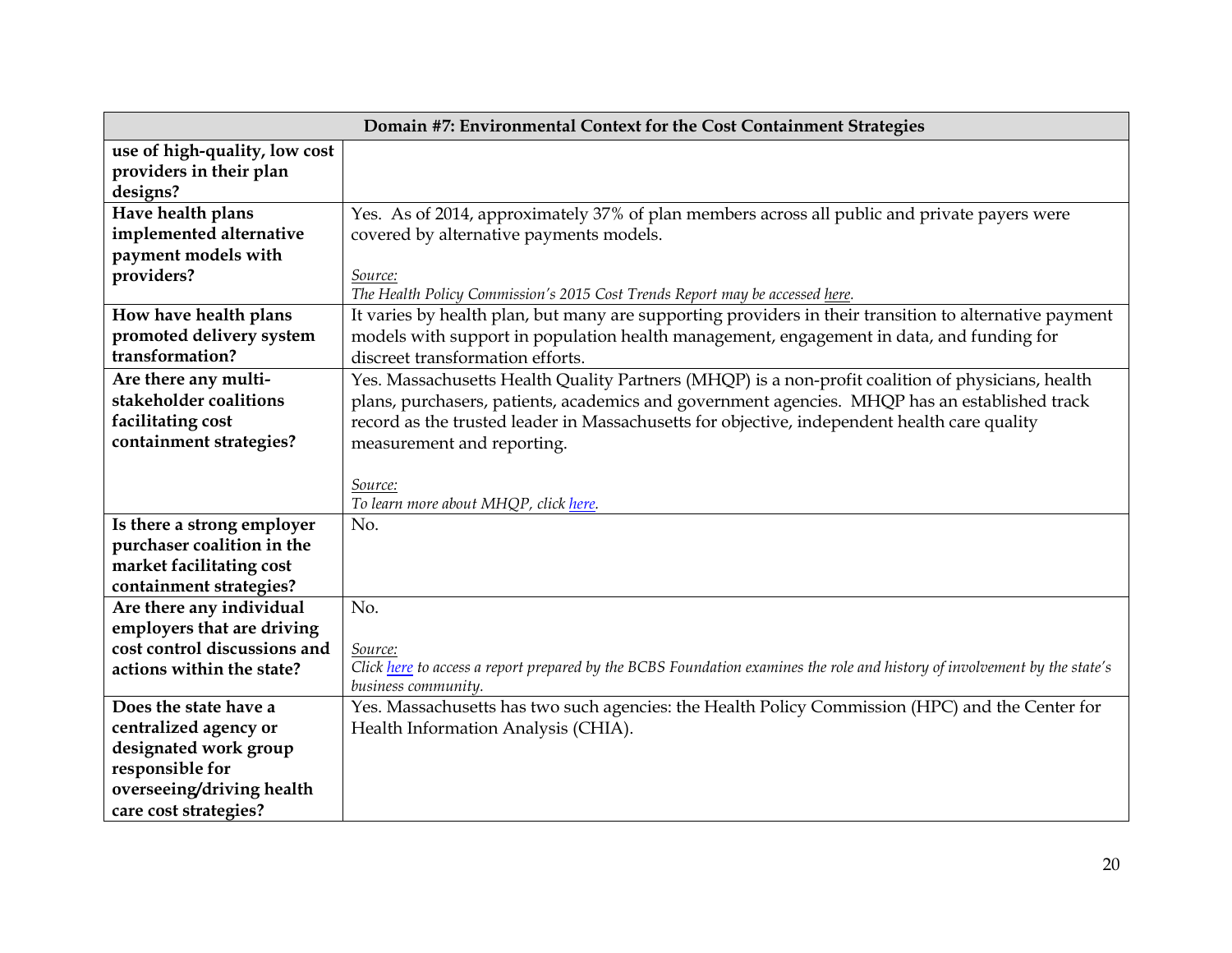| Domain #7: Environmental Context for the Cost Containment Strategies |                                                                                                                           |  |
|----------------------------------------------------------------------|---------------------------------------------------------------------------------------------------------------------------|--|
| use of high-quality, low cost                                        |                                                                                                                           |  |
| providers in their plan                                              |                                                                                                                           |  |
| designs?                                                             |                                                                                                                           |  |
| Have health plans                                                    | Yes. As of 2014, approximately 37% of plan members across all public and private payers were                              |  |
| implemented alternative                                              | covered by alternative payments models.                                                                                   |  |
| payment models with                                                  |                                                                                                                           |  |
| providers?                                                           | Source:                                                                                                                   |  |
|                                                                      | The Health Policy Commission's 2015 Cost Trends Report may be accessed here.                                              |  |
| How have health plans                                                | It varies by health plan, but many are supporting providers in their transition to alternative payment                    |  |
| promoted delivery system                                             | models with support in population health management, engagement in data, and funding for                                  |  |
| transformation?                                                      | discreet transformation efforts.                                                                                          |  |
| Are there any multi-                                                 | Yes. Massachusetts Health Quality Partners (MHQP) is a non-profit coalition of physicians, health                         |  |
| stakeholder coalitions                                               | plans, purchasers, patients, academics and government agencies. MHQP has an established track                             |  |
| facilitating cost                                                    | record as the trusted leader in Massachusetts for objective, independent health care quality                              |  |
| containment strategies?                                              | measurement and reporting.                                                                                                |  |
|                                                                      |                                                                                                                           |  |
|                                                                      | Source:                                                                                                                   |  |
|                                                                      | To learn more about MHQP, click here.                                                                                     |  |
| Is there a strong employer<br>purchaser coalition in the             | No.                                                                                                                       |  |
| market facilitating cost                                             |                                                                                                                           |  |
| containment strategies?                                              |                                                                                                                           |  |
| Are there any individual                                             | No.                                                                                                                       |  |
| employers that are driving                                           |                                                                                                                           |  |
| cost control discussions and                                         | Source:                                                                                                                   |  |
| actions within the state?                                            | Click here to access a report prepared by the BCBS Foundation examines the role and history of involvement by the state's |  |
|                                                                      | business community.                                                                                                       |  |
| Does the state have a                                                | Yes. Massachusetts has two such agencies: the Health Policy Commission (HPC) and the Center for                           |  |
| centralized agency or                                                | Health Information Analysis (CHIA).                                                                                       |  |
| designated work group                                                |                                                                                                                           |  |
| responsible for                                                      |                                                                                                                           |  |
| overseeing/driving health                                            |                                                                                                                           |  |
| care cost strategies?                                                |                                                                                                                           |  |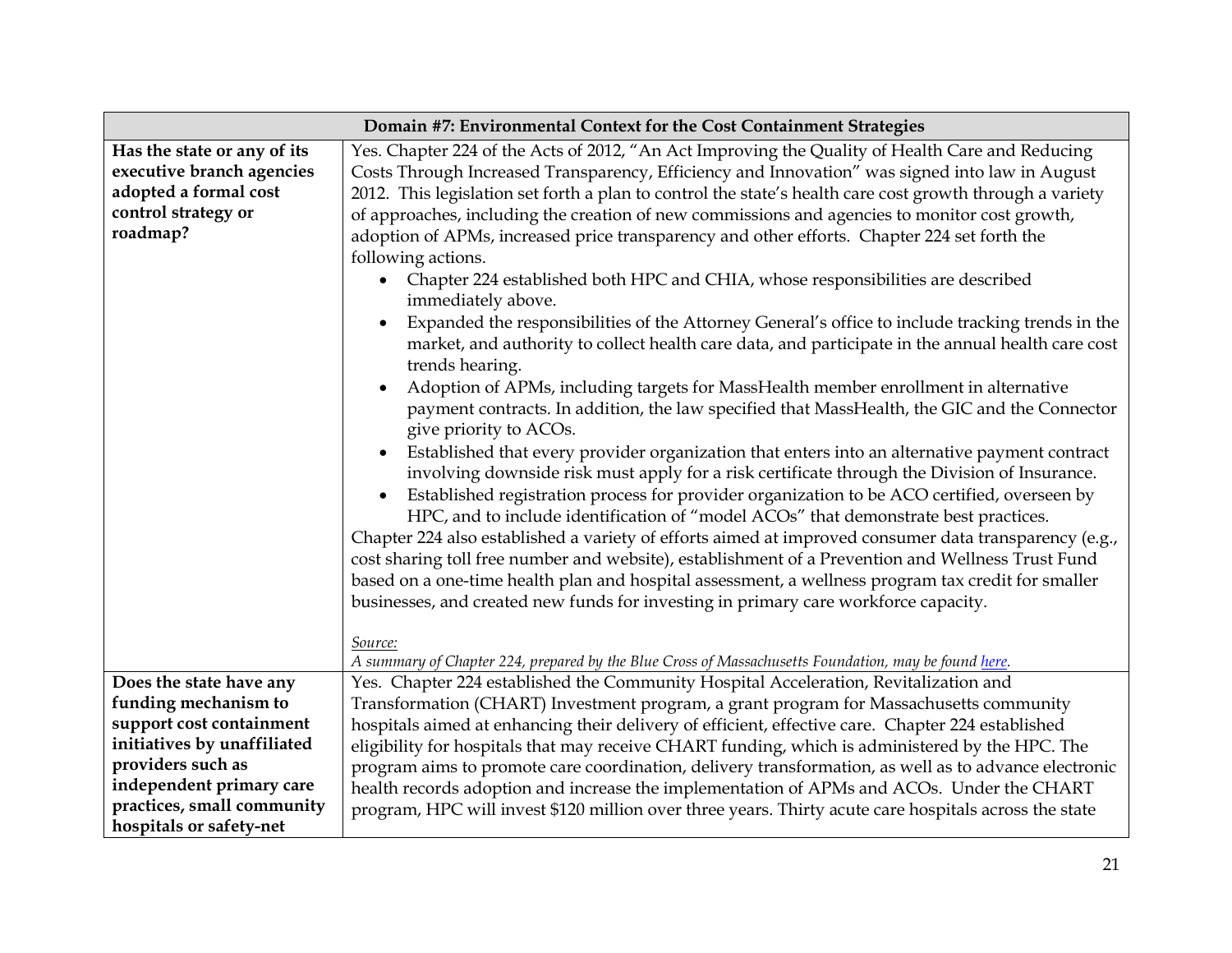| Domain #7: Environmental Context for the Cost Containment Strategies                                                 |                                                                                                                                                                                                                                                                                                                                                                                                                                                                                                                                                                                                                                                                                                                                                                                                                                                                                                                                                                                                                                                                                                                                                                                                                                                                                                                                                                                                                                                                                                                                                                                                                                                                                                                                                                                                                                                                                                                                               |  |  |
|----------------------------------------------------------------------------------------------------------------------|-----------------------------------------------------------------------------------------------------------------------------------------------------------------------------------------------------------------------------------------------------------------------------------------------------------------------------------------------------------------------------------------------------------------------------------------------------------------------------------------------------------------------------------------------------------------------------------------------------------------------------------------------------------------------------------------------------------------------------------------------------------------------------------------------------------------------------------------------------------------------------------------------------------------------------------------------------------------------------------------------------------------------------------------------------------------------------------------------------------------------------------------------------------------------------------------------------------------------------------------------------------------------------------------------------------------------------------------------------------------------------------------------------------------------------------------------------------------------------------------------------------------------------------------------------------------------------------------------------------------------------------------------------------------------------------------------------------------------------------------------------------------------------------------------------------------------------------------------------------------------------------------------------------------------------------------------|--|--|
| Has the state or any of its<br>executive branch agencies<br>adopted a formal cost<br>control strategy or<br>roadmap? | Yes. Chapter 224 of the Acts of 2012, "An Act Improving the Quality of Health Care and Reducing<br>Costs Through Increased Transparency, Efficiency and Innovation" was signed into law in August<br>2012. This legislation set forth a plan to control the state's health care cost growth through a variety<br>of approaches, including the creation of new commissions and agencies to monitor cost growth,<br>adoption of APMs, increased price transparency and other efforts. Chapter 224 set forth the<br>following actions.<br>Chapter 224 established both HPC and CHIA, whose responsibilities are described<br>$\bullet$<br>immediately above.<br>Expanded the responsibilities of the Attorney General's office to include tracking trends in the<br>market, and authority to collect health care data, and participate in the annual health care cost<br>trends hearing.<br>Adoption of APMs, including targets for MassHealth member enrollment in alternative<br>payment contracts. In addition, the law specified that MassHealth, the GIC and the Connector<br>give priority to ACOs.<br>Established that every provider organization that enters into an alternative payment contract<br>$\bullet$<br>involving downside risk must apply for a risk certificate through the Division of Insurance.<br>Established registration process for provider organization to be ACO certified, overseen by<br>$\bullet$<br>HPC, and to include identification of "model ACOs" that demonstrate best practices.<br>Chapter 224 also established a variety of efforts aimed at improved consumer data transparency (e.g.,<br>cost sharing toll free number and website), establishment of a Prevention and Wellness Trust Fund<br>based on a one-time health plan and hospital assessment, a wellness program tax credit for smaller<br>businesses, and created new funds for investing in primary care workforce capacity.<br>Source: |  |  |
| Does the state have any                                                                                              | A summary of Chapter 224, prepared by the Blue Cross of Massachusetts Foundation, may be found here.<br>Yes. Chapter 224 established the Community Hospital Acceleration, Revitalization and                                                                                                                                                                                                                                                                                                                                                                                                                                                                                                                                                                                                                                                                                                                                                                                                                                                                                                                                                                                                                                                                                                                                                                                                                                                                                                                                                                                                                                                                                                                                                                                                                                                                                                                                                  |  |  |
| funding mechanism to                                                                                                 | Transformation (CHART) Investment program, a grant program for Massachusetts community                                                                                                                                                                                                                                                                                                                                                                                                                                                                                                                                                                                                                                                                                                                                                                                                                                                                                                                                                                                                                                                                                                                                                                                                                                                                                                                                                                                                                                                                                                                                                                                                                                                                                                                                                                                                                                                        |  |  |
| support cost containment                                                                                             | hospitals aimed at enhancing their delivery of efficient, effective care. Chapter 224 established                                                                                                                                                                                                                                                                                                                                                                                                                                                                                                                                                                                                                                                                                                                                                                                                                                                                                                                                                                                                                                                                                                                                                                                                                                                                                                                                                                                                                                                                                                                                                                                                                                                                                                                                                                                                                                             |  |  |
| initiatives by unaffiliated                                                                                          | eligibility for hospitals that may receive CHART funding, which is administered by the HPC. The                                                                                                                                                                                                                                                                                                                                                                                                                                                                                                                                                                                                                                                                                                                                                                                                                                                                                                                                                                                                                                                                                                                                                                                                                                                                                                                                                                                                                                                                                                                                                                                                                                                                                                                                                                                                                                               |  |  |
| providers such as                                                                                                    | program aims to promote care coordination, delivery transformation, as well as to advance electronic                                                                                                                                                                                                                                                                                                                                                                                                                                                                                                                                                                                                                                                                                                                                                                                                                                                                                                                                                                                                                                                                                                                                                                                                                                                                                                                                                                                                                                                                                                                                                                                                                                                                                                                                                                                                                                          |  |  |
| independent primary care                                                                                             | health records adoption and increase the implementation of APMs and ACOs. Under the CHART                                                                                                                                                                                                                                                                                                                                                                                                                                                                                                                                                                                                                                                                                                                                                                                                                                                                                                                                                                                                                                                                                                                                                                                                                                                                                                                                                                                                                                                                                                                                                                                                                                                                                                                                                                                                                                                     |  |  |
| practices, small community<br>hospitals or safety-net                                                                | program, HPC will invest \$120 million over three years. Thirty acute care hospitals across the state                                                                                                                                                                                                                                                                                                                                                                                                                                                                                                                                                                                                                                                                                                                                                                                                                                                                                                                                                                                                                                                                                                                                                                                                                                                                                                                                                                                                                                                                                                                                                                                                                                                                                                                                                                                                                                         |  |  |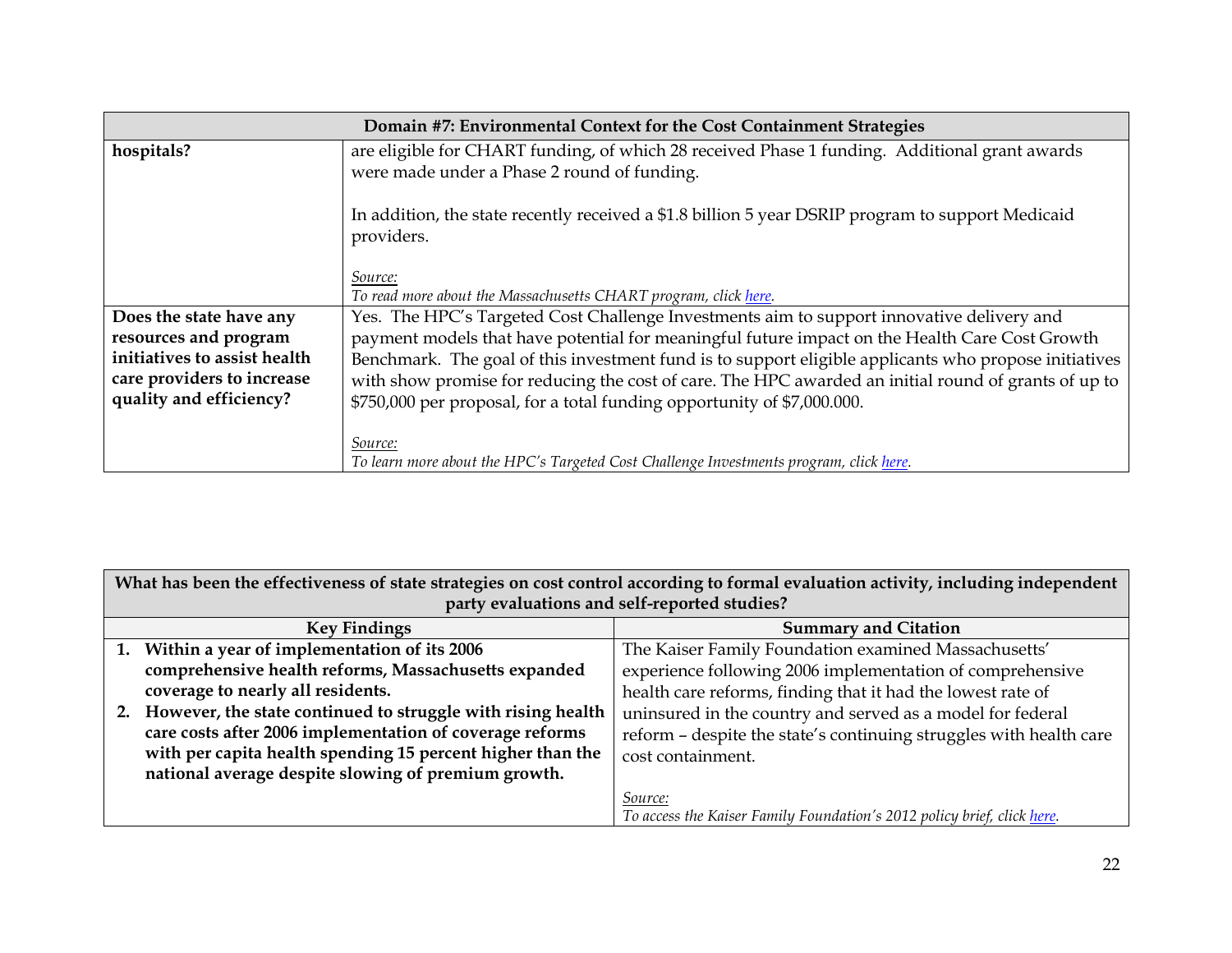| Domain #7: Environmental Context for the Cost Containment Strategies                  |                                                                                                                                                                                                                                                                                          |  |
|---------------------------------------------------------------------------------------|------------------------------------------------------------------------------------------------------------------------------------------------------------------------------------------------------------------------------------------------------------------------------------------|--|
| hospitals?                                                                            | are eligible for CHART funding, of which 28 received Phase 1 funding. Additional grant awards<br>were made under a Phase 2 round of funding.                                                                                                                                             |  |
|                                                                                       | In addition, the state recently received a \$1.8 billion 5 year DSRIP program to support Medicaid<br>providers.                                                                                                                                                                          |  |
|                                                                                       | Source:<br>To read more about the Massachusetts CHART program, click here.                                                                                                                                                                                                               |  |
| Does the state have any<br>resources and program                                      | Yes. The HPC's Targeted Cost Challenge Investments aim to support innovative delivery and<br>payment models that have potential for meaningful future impact on the Health Care Cost Growth                                                                                              |  |
| initiatives to assist health<br>care providers to increase<br>quality and efficiency? | Benchmark. The goal of this investment fund is to support eligible applicants who propose initiatives<br>with show promise for reducing the cost of care. The HPC awarded an initial round of grants of up to<br>\$750,000 per proposal, for a total funding opportunity of \$7,000.000. |  |
|                                                                                       | Source:<br>To learn more about the HPC's Targeted Cost Challenge Investments program, click here.                                                                                                                                                                                        |  |

| What has been the effectiveness of state strategies on cost control according to formal evaluation activity, including independent<br>party evaluations and self-reported studies? |                                                                |                                                                         |
|------------------------------------------------------------------------------------------------------------------------------------------------------------------------------------|----------------------------------------------------------------|-------------------------------------------------------------------------|
| <b>Key Findings</b>                                                                                                                                                                |                                                                | <b>Summary and Citation</b>                                             |
|                                                                                                                                                                                    | 1. Within a year of implementation of its 2006                 | The Kaiser Family Foundation examined Massachusetts'                    |
|                                                                                                                                                                                    | comprehensive health reforms, Massachusetts expanded           | experience following 2006 implementation of comprehensive               |
|                                                                                                                                                                                    | coverage to nearly all residents.                              | health care reforms, finding that it had the lowest rate of             |
|                                                                                                                                                                                    | 2. However, the state continued to struggle with rising health | uninsured in the country and served as a model for federal              |
|                                                                                                                                                                                    | care costs after 2006 implementation of coverage reforms       | reform - despite the state's continuing struggles with health care      |
|                                                                                                                                                                                    | with per capita health spending 15 percent higher than the     | cost containment.                                                       |
|                                                                                                                                                                                    | national average despite slowing of premium growth.            |                                                                         |
|                                                                                                                                                                                    |                                                                | Source:                                                                 |
|                                                                                                                                                                                    |                                                                | To access the Kaiser Family Foundation's 2012 policy brief, click here. |

 $\blacksquare$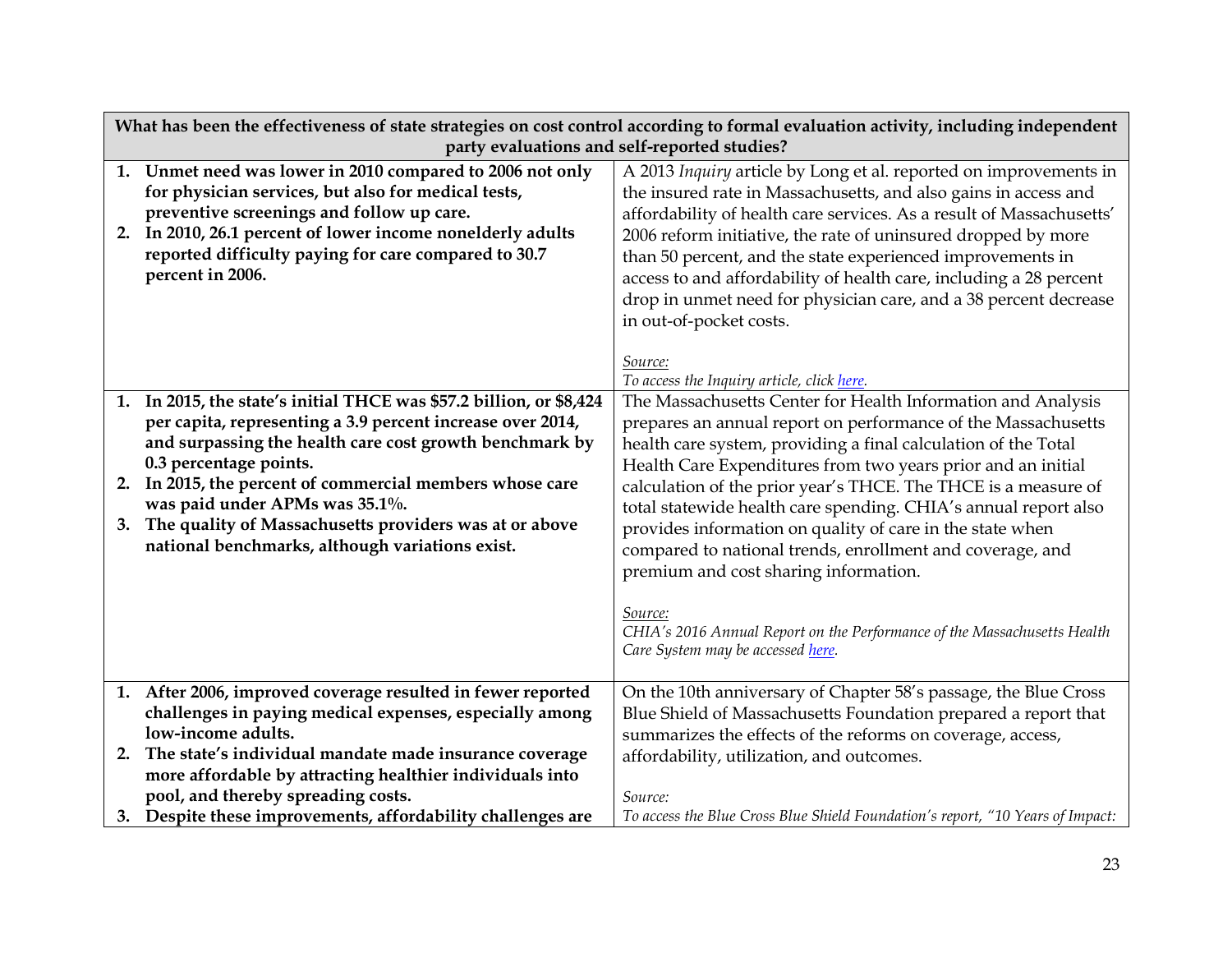| What has been the effectiveness of state strategies on cost control according to formal evaluation activity, including independent |                                                                                                                                                                                                                                                                                                                                                                                                                             |                                                                                                                                                                                                                                                                                                                                                                                                                                                                                                                                                                                                                                                                                                     |  |
|------------------------------------------------------------------------------------------------------------------------------------|-----------------------------------------------------------------------------------------------------------------------------------------------------------------------------------------------------------------------------------------------------------------------------------------------------------------------------------------------------------------------------------------------------------------------------|-----------------------------------------------------------------------------------------------------------------------------------------------------------------------------------------------------------------------------------------------------------------------------------------------------------------------------------------------------------------------------------------------------------------------------------------------------------------------------------------------------------------------------------------------------------------------------------------------------------------------------------------------------------------------------------------------------|--|
|                                                                                                                                    | party evaluations and self-reported studies?                                                                                                                                                                                                                                                                                                                                                                                |                                                                                                                                                                                                                                                                                                                                                                                                                                                                                                                                                                                                                                                                                                     |  |
|                                                                                                                                    | 1. Unmet need was lower in 2010 compared to 2006 not only<br>for physician services, but also for medical tests,<br>preventive screenings and follow up care.<br>2. In 2010, 26.1 percent of lower income nonelderly adults<br>reported difficulty paying for care compared to 30.7<br>percent in 2006.                                                                                                                     | A 2013 Inquiry article by Long et al. reported on improvements in<br>the insured rate in Massachusetts, and also gains in access and<br>affordability of health care services. As a result of Massachusetts'<br>2006 reform initiative, the rate of uninsured dropped by more<br>than 50 percent, and the state experienced improvements in<br>access to and affordability of health care, including a 28 percent<br>drop in unmet need for physician care, and a 38 percent decrease<br>in out-of-pocket costs.                                                                                                                                                                                    |  |
|                                                                                                                                    |                                                                                                                                                                                                                                                                                                                                                                                                                             | Source:<br>To access the Inquiry article, click here.                                                                                                                                                                                                                                                                                                                                                                                                                                                                                                                                                                                                                                               |  |
| 1.<br>2.<br>3.                                                                                                                     | In 2015, the state's initial THCE was \$57.2 billion, or \$8,424<br>per capita, representing a 3.9 percent increase over 2014,<br>and surpassing the health care cost growth benchmark by<br>0.3 percentage points.<br>In 2015, the percent of commercial members whose care<br>was paid under APMs was 35.1%.<br>The quality of Massachusetts providers was at or above<br>national benchmarks, although variations exist. | The Massachusetts Center for Health Information and Analysis<br>prepares an annual report on performance of the Massachusetts<br>health care system, providing a final calculation of the Total<br>Health Care Expenditures from two years prior and an initial<br>calculation of the prior year's THCE. The THCE is a measure of<br>total statewide health care spending. CHIA's annual report also<br>provides information on quality of care in the state when<br>compared to national trends, enrollment and coverage, and<br>premium and cost sharing information.<br>Source:<br>CHIA's 2016 Annual Report on the Performance of the Massachusetts Health<br>Care System may be accessed here. |  |
|                                                                                                                                    | 1. After 2006, improved coverage resulted in fewer reported                                                                                                                                                                                                                                                                                                                                                                 | On the 10th anniversary of Chapter 58's passage, the Blue Cross                                                                                                                                                                                                                                                                                                                                                                                                                                                                                                                                                                                                                                     |  |
|                                                                                                                                    | challenges in paying medical expenses, especially among                                                                                                                                                                                                                                                                                                                                                                     | Blue Shield of Massachusetts Foundation prepared a report that                                                                                                                                                                                                                                                                                                                                                                                                                                                                                                                                                                                                                                      |  |
| 2.                                                                                                                                 | low-income adults.<br>The state's individual mandate made insurance coverage                                                                                                                                                                                                                                                                                                                                                | summarizes the effects of the reforms on coverage, access,                                                                                                                                                                                                                                                                                                                                                                                                                                                                                                                                                                                                                                          |  |
|                                                                                                                                    | more affordable by attracting healthier individuals into                                                                                                                                                                                                                                                                                                                                                                    | affordability, utilization, and outcomes.                                                                                                                                                                                                                                                                                                                                                                                                                                                                                                                                                                                                                                                           |  |
|                                                                                                                                    | pool, and thereby spreading costs.                                                                                                                                                                                                                                                                                                                                                                                          | Source:                                                                                                                                                                                                                                                                                                                                                                                                                                                                                                                                                                                                                                                                                             |  |
|                                                                                                                                    | 3. Despite these improvements, affordability challenges are                                                                                                                                                                                                                                                                                                                                                                 | To access the Blue Cross Blue Shield Foundation's report, "10 Years of Impact:                                                                                                                                                                                                                                                                                                                                                                                                                                                                                                                                                                                                                      |  |